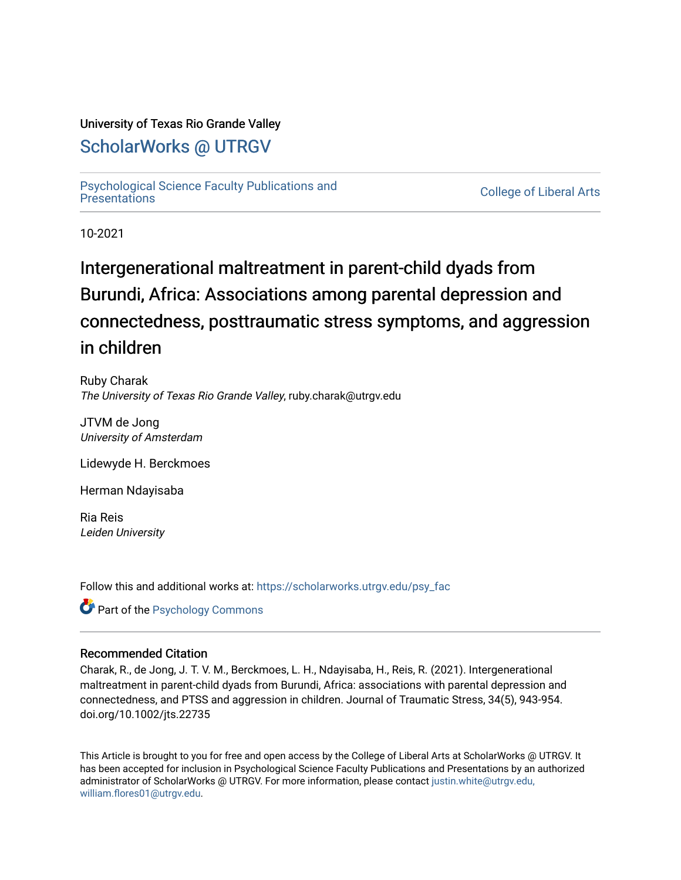## University of Texas Rio Grande Valley

# [ScholarWorks @ UTRGV](https://scholarworks.utrgv.edu/)

[Psychological Science Faculty Publications and](https://scholarworks.utrgv.edu/psy_fac)

**College of Liberal Arts** 

10-2021

# Intergenerational maltreatment in parent-child dyads from Burundi, Africa: Associations among parental depression and connectedness, posttraumatic stress symptoms, and aggression in children

Ruby Charak The University of Texas Rio Grande Valley, ruby.charak@utrgv.edu

JTVM de Jong University of Amsterdam

Lidewyde H. Berckmoes

Herman Ndayisaba

Ria Reis Leiden University

Follow this and additional works at: [https://scholarworks.utrgv.edu/psy\\_fac](https://scholarworks.utrgv.edu/psy_fac?utm_source=scholarworks.utrgv.edu%2Fpsy_fac%2F105&utm_medium=PDF&utm_campaign=PDFCoverPages) 

**C** Part of the Psychology Commons

#### Recommended Citation

Charak, R., de Jong, J. T. V. M., Berckmoes, L. H., Ndayisaba, H., Reis, R. (2021). Intergenerational maltreatment in parent-child dyads from Burundi, Africa: associations with parental depression and connectedness, and PTSS and aggression in children. Journal of Traumatic Stress, 34(5), 943-954. doi.org/10.1002/jts.22735

This Article is brought to you for free and open access by the College of Liberal Arts at ScholarWorks @ UTRGV. It has been accepted for inclusion in Psychological Science Faculty Publications and Presentations by an authorized administrator of ScholarWorks @ UTRGV. For more information, please contact [justin.white@utrgv.edu,](mailto:justin.white@utrgv.edu,%20william.flores01@utrgv.edu)  [william.flores01@utrgv.edu](mailto:justin.white@utrgv.edu,%20william.flores01@utrgv.edu).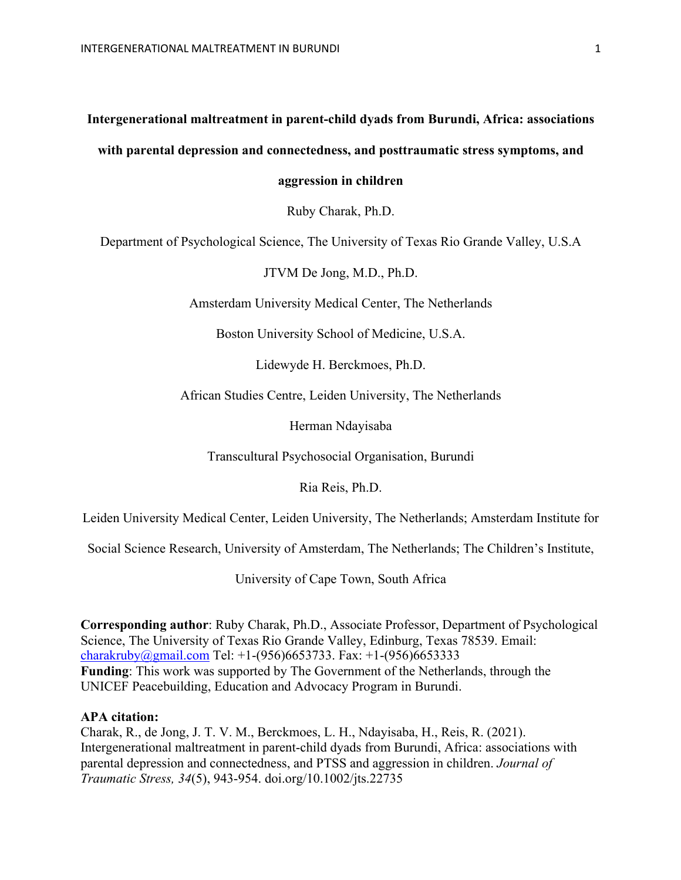## **Intergenerational maltreatment in parent-child dyads from Burundi, Africa: associations**

### **with parental depression and connectedness, and posttraumatic stress symptoms, and**

**aggression in children**

Ruby Charak, Ph.D.

Department of Psychological Science, The University of Texas Rio Grande Valley, U.S.A

JTVM De Jong, M.D., Ph.D.

Amsterdam University Medical Center, The Netherlands

Boston University School of Medicine, U.S.A.

Lidewyde H. Berckmoes, Ph.D.

African Studies Centre, Leiden University, The Netherlands

Herman Ndayisaba

Transcultural Psychosocial Organisation, Burundi

Ria Reis, Ph.D.

Leiden University Medical Center, Leiden University, The Netherlands; Amsterdam Institute for

Social Science Research, University of Amsterdam, The Netherlands; The Children's Institute,

University of Cape Town, South Africa

**Corresponding author**: Ruby Charak, Ph.D., Associate Professor, Department of Psychological Science, The University of Texas Rio Grande Valley, Edinburg, Texas 78539. Email: charakruby@gmail.com Tel:  $+1-(956)6653733$ . Fax:  $+1-(956)6653333$ **Funding**: This work was supported by The Government of the Netherlands, through the UNICEF Peacebuilding, Education and Advocacy Program in Burundi.

#### **APA citation:**

Charak, R., de Jong, J. T. V. M., Berckmoes, L. H., Ndayisaba, H., Reis, R. (2021). Intergenerational maltreatment in parent-child dyads from Burundi, Africa: associations with parental depression and connectedness, and PTSS and aggression in children. *Journal of Traumatic Stress, 34*(5), 943-954. doi.org/10.1002/jts.22735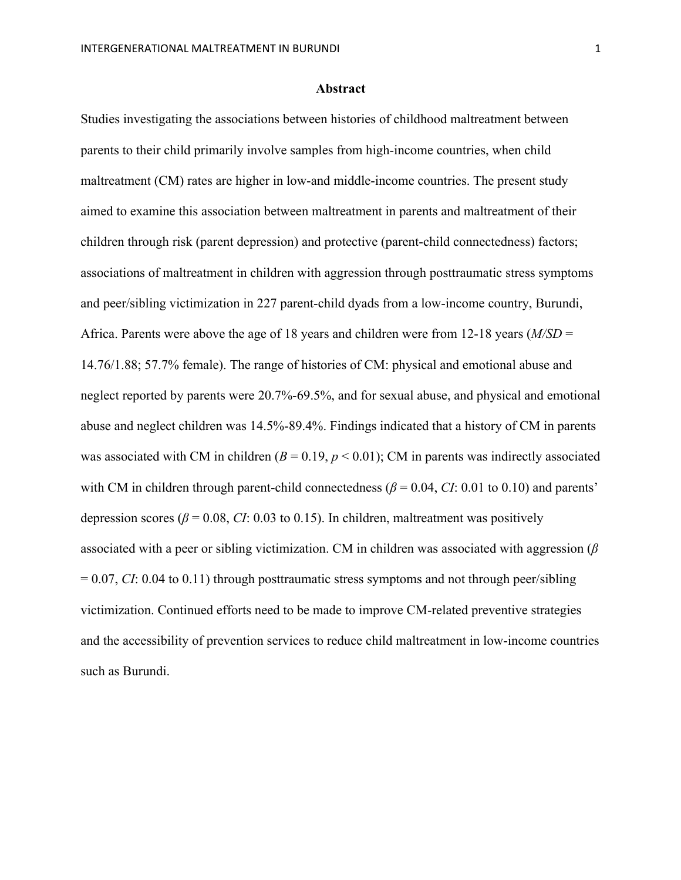#### **Abstract**

Studies investigating the associations between histories of childhood maltreatment between parents to their child primarily involve samples from high-income countries, when child maltreatment (CM) rates are higher in low-and middle-income countries. The present study aimed to examine this association between maltreatment in parents and maltreatment of their children through risk (parent depression) and protective (parent-child connectedness) factors; associations of maltreatment in children with aggression through posttraumatic stress symptoms and peer/sibling victimization in 227 parent-child dyads from a low-income country, Burundi, Africa. Parents were above the age of 18 years and children were from 12-18 years (*M/SD* = 14.76/1.88; 57.7% female). The range of histories of CM: physical and emotional abuse and neglect reported by parents were 20.7%-69.5%, and for sexual abuse, and physical and emotional abuse and neglect children was 14.5%-89.4%. Findings indicated that a history of CM in parents was associated with CM in children  $(B = 0.19, p < 0.01)$ ; CM in parents was indirectly associated with CM in children through parent-child connectedness ( $\beta$  = 0.04, *CI*: 0.01 to 0.10) and parents' depression scores ( $\beta$  = 0.08, *CI*: 0.03 to 0.15). In children, maltreatment was positively associated with a peer or sibling victimization. CM in children was associated with aggression (*β* = 0.07, *CI*: 0.04 to 0.11) through posttraumatic stress symptoms and not through peer/sibling victimization. Continued efforts need to be made to improve CM-related preventive strategies and the accessibility of prevention services to reduce child maltreatment in low-income countries such as Burundi.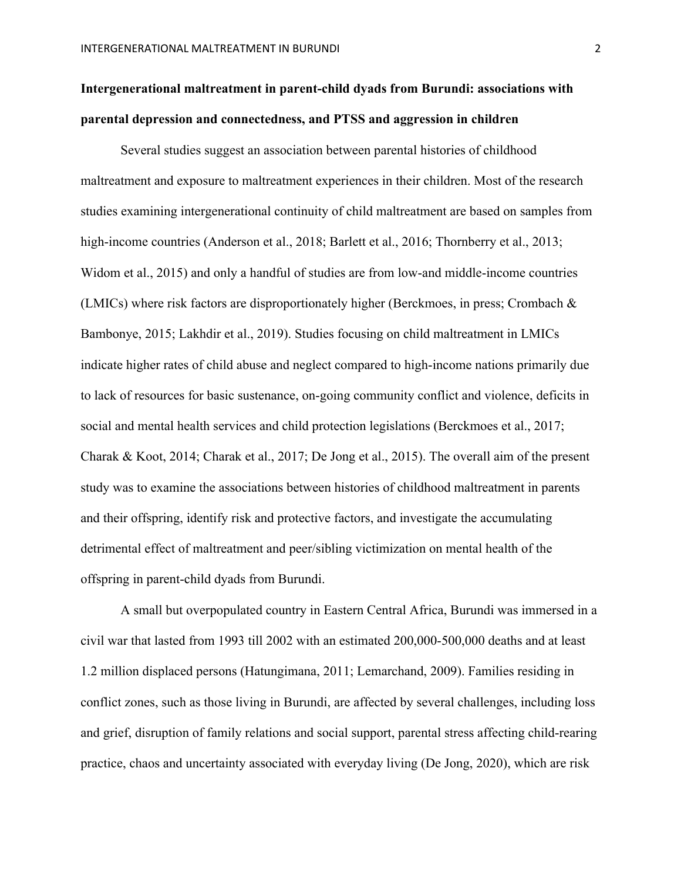# **Intergenerational maltreatment in parent-child dyads from Burundi: associations with parental depression and connectedness, and PTSS and aggression in children**

Several studies suggest an association between parental histories of childhood maltreatment and exposure to maltreatment experiences in their children. Most of the research studies examining intergenerational continuity of child maltreatment are based on samples from high-income countries (Anderson et al., 2018; Barlett et al., 2016; Thornberry et al., 2013; Widom et al., 2015) and only a handful of studies are from low-and middle-income countries (LMICs) where risk factors are disproportionately higher (Berckmoes, in press; Crombach & Bambonye, 2015; Lakhdir et al., 2019). Studies focusing on child maltreatment in LMICs indicate higher rates of child abuse and neglect compared to high-income nations primarily due to lack of resources for basic sustenance, on-going community conflict and violence, deficits in social and mental health services and child protection legislations (Berckmoes et al., 2017; Charak & Koot, 2014; Charak et al., 2017; De Jong et al., 2015). The overall aim of the present study was to examine the associations between histories of childhood maltreatment in parents and their offspring, identify risk and protective factors, and investigate the accumulating detrimental effect of maltreatment and peer/sibling victimization on mental health of the offspring in parent-child dyads from Burundi.

A small but overpopulated country in Eastern Central Africa, Burundi was immersed in a civil war that lasted from 1993 till 2002 with an estimated 200,000-500,000 deaths and at least 1.2 million displaced persons (Hatungimana, 2011; Lemarchand, 2009). Families residing in conflict zones, such as those living in Burundi, are affected by several challenges, including loss and grief, disruption of family relations and social support, parental stress affecting child-rearing practice, chaos and uncertainty associated with everyday living (De Jong, 2020), which are risk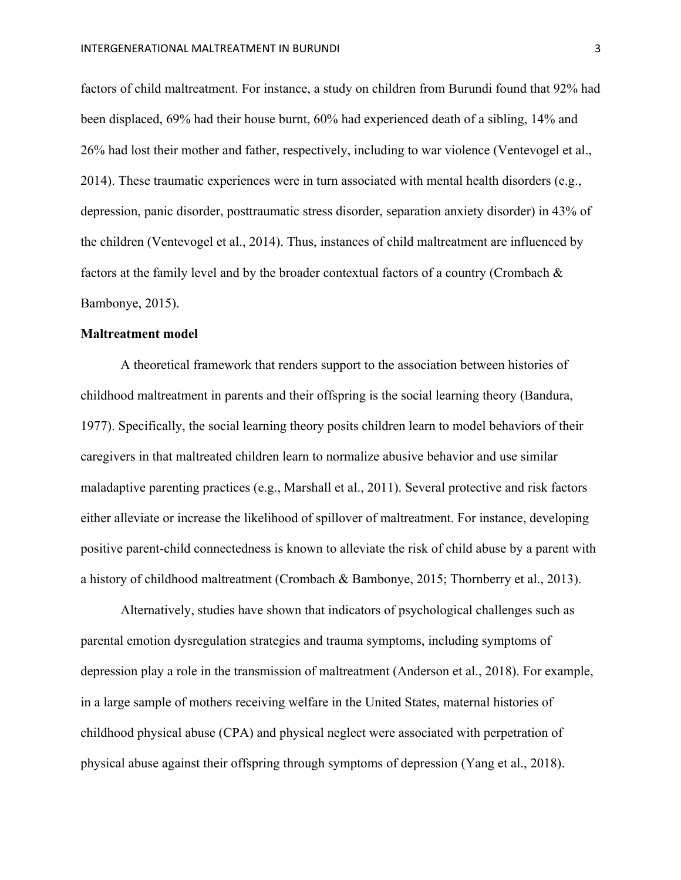factors of child maltreatment. For instance, a study on children from Burundi found that 92% had been displaced, 69% had their house burnt, 60% had experienced death of a sibling, 14% and 26% had lost their mother and father, respectively, including to war violence (Ventevogel et al., 2014). These traumatic experiences were in turn associated with mental health disorders (e.g., depression, panic disorder, posttraumatic stress disorder, separation anxiety disorder) in 43% of the children (Ventevogel et al., 2014). Thus, instances of child maltreatment are influenced by factors at the family level and by the broader contextual factors of a country (Crombach & Bambonye, 2015).

#### **Maltreatment model**

A theoretical framework that renders support to the association between histories of childhood maltreatment in parents and their offspring is the social learning theory (Bandura, 1977). Specifically, the social learning theory posits children learn to model behaviors of their caregivers in that maltreated children learn to normalize abusive behavior and use similar maladaptive parenting practices (e.g., Marshall et al., 2011). Several protective and risk factors either alleviate or increase the likelihood of spillover of maltreatment. For instance, developing positive parent-child connectedness is known to alleviate the risk of child abuse by a parent with a history of childhood maltreatment (Crombach & Bambonye, 2015; Thornberry et al., 2013).

Alternatively, studies have shown that indicators of psychological challenges such as parental emotion dysregulation strategies and trauma symptoms, including symptoms of depression play a role in the transmission of maltreatment (Anderson et al., 2018). For example, in a large sample of mothers receiving welfare in the United States, maternal histories of childhood physical abuse (CPA) and physical neglect were associated with perpetration of physical abuse against their offspring through symptoms of depression (Yang et al., 2018).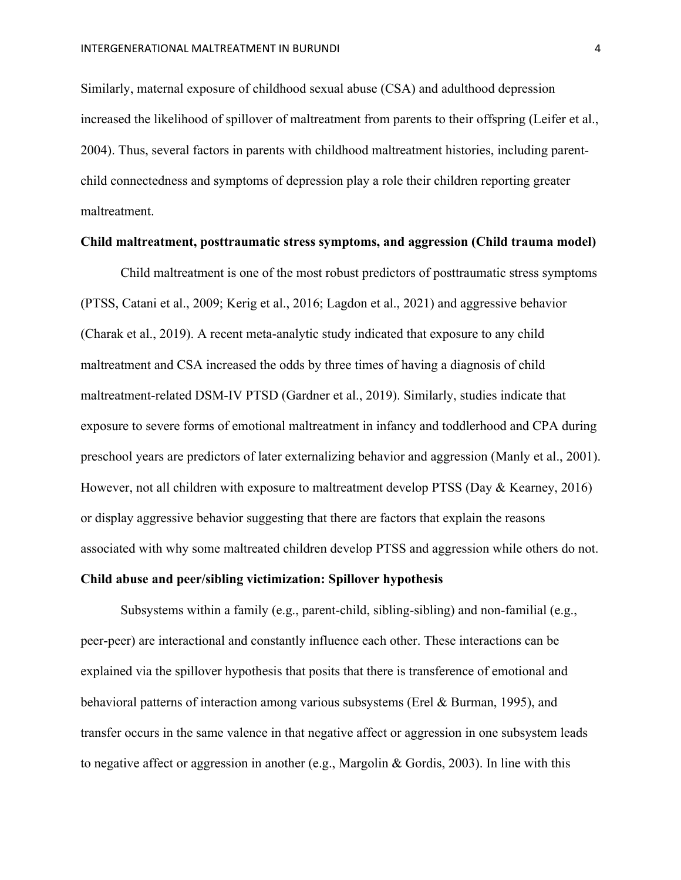Similarly, maternal exposure of childhood sexual abuse (CSA) and adulthood depression increased the likelihood of spillover of maltreatment from parents to their offspring (Leifer et al., 2004). Thus, several factors in parents with childhood maltreatment histories, including parentchild connectedness and symptoms of depression play a role their children reporting greater maltreatment.

#### **Child maltreatment, posttraumatic stress symptoms, and aggression (Child trauma model)**

Child maltreatment is one of the most robust predictors of posttraumatic stress symptoms (PTSS, Catani et al., 2009; Kerig et al., 2016; Lagdon et al., 2021) and aggressive behavior (Charak et al., 2019). A recent meta-analytic study indicated that exposure to any child maltreatment and CSA increased the odds by three times of having a diagnosis of child maltreatment-related DSM-IV PTSD (Gardner et al., 2019). Similarly, studies indicate that exposure to severe forms of emotional maltreatment in infancy and toddlerhood and CPA during preschool years are predictors of later externalizing behavior and aggression (Manly et al., 2001). However, not all children with exposure to maltreatment develop PTSS (Day & Kearney, 2016) or display aggressive behavior suggesting that there are factors that explain the reasons associated with why some maltreated children develop PTSS and aggression while others do not.

#### **Child abuse and peer/sibling victimization: Spillover hypothesis**

Subsystems within a family (e.g., parent-child, sibling-sibling) and non-familial (e.g., peer-peer) are interactional and constantly influence each other. These interactions can be explained via the spillover hypothesis that posits that there is transference of emotional and behavioral patterns of interaction among various subsystems (Erel & Burman, 1995), and transfer occurs in the same valence in that negative affect or aggression in one subsystem leads to negative affect or aggression in another (e.g., Margolin & Gordis, 2003). In line with this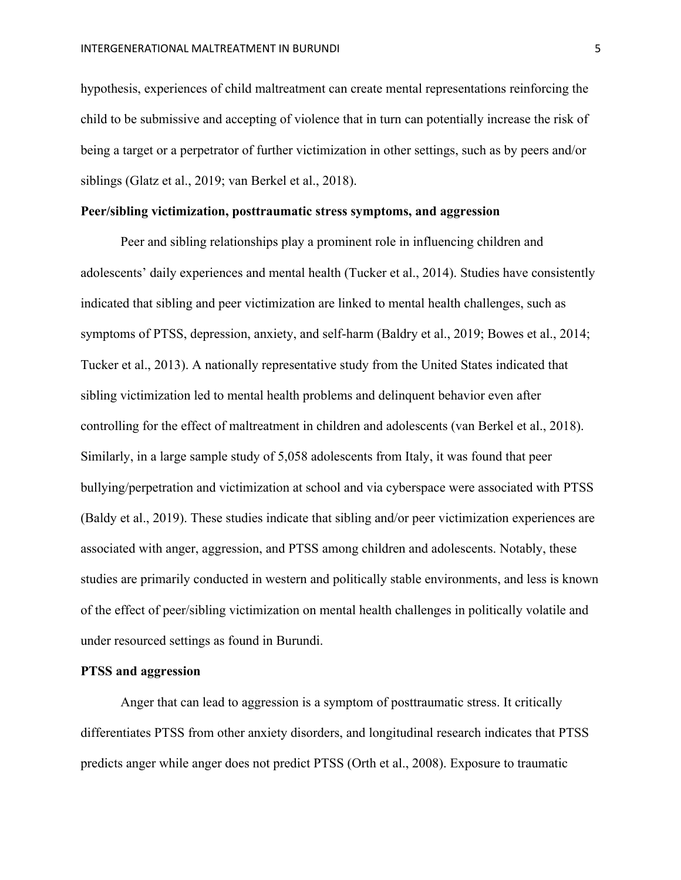hypothesis, experiences of child maltreatment can create mental representations reinforcing the child to be submissive and accepting of violence that in turn can potentially increase the risk of being a target or a perpetrator of further victimization in other settings, such as by peers and/or siblings (Glatz et al., 2019; van Berkel et al., 2018).

#### **Peer/sibling victimization, posttraumatic stress symptoms, and aggression**

Peer and sibling relationships play a prominent role in influencing children and adolescents' daily experiences and mental health (Tucker et al., 2014). Studies have consistently indicated that sibling and peer victimization are linked to mental health challenges, such as symptoms of PTSS, depression, anxiety, and self-harm (Baldry et al., 2019; Bowes et al., 2014; Tucker et al., 2013). A nationally representative study from the United States indicated that sibling victimization led to mental health problems and delinquent behavior even after controlling for the effect of maltreatment in children and adolescents (van Berkel et al., 2018). Similarly, in a large sample study of 5,058 adolescents from Italy, it was found that peer bullying/perpetration and victimization at school and via cyberspace were associated with PTSS (Baldy et al., 2019). These studies indicate that sibling and/or peer victimization experiences are associated with anger, aggression, and PTSS among children and adolescents. Notably, these studies are primarily conducted in western and politically stable environments, and less is known of the effect of peer/sibling victimization on mental health challenges in politically volatile and under resourced settings as found in Burundi.

#### **PTSS and aggression**

Anger that can lead to aggression is a symptom of posttraumatic stress. It critically differentiates PTSS from other anxiety disorders, and longitudinal research indicates that PTSS predicts anger while anger does not predict PTSS (Orth et al., 2008). Exposure to traumatic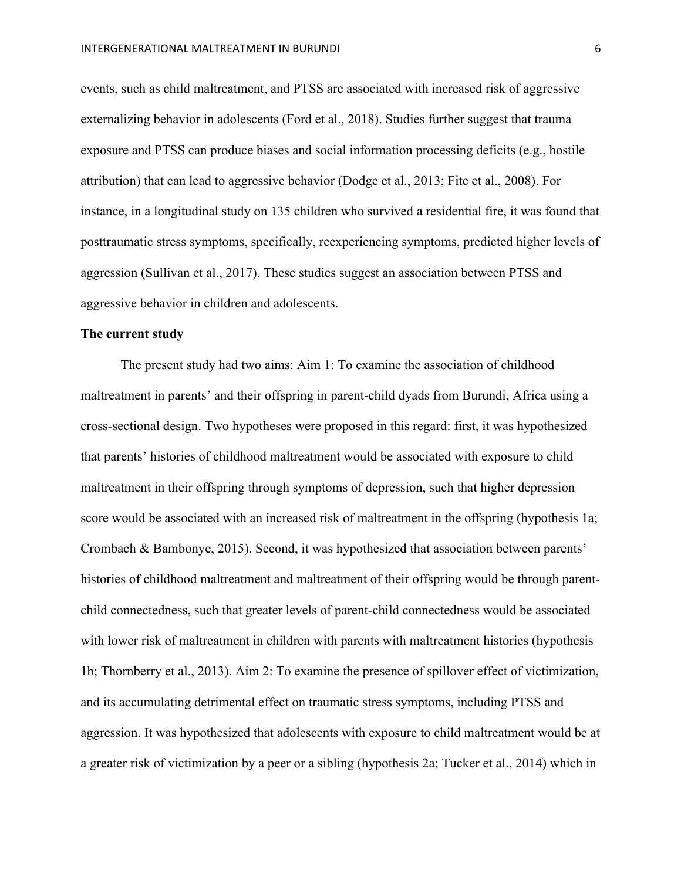events, such as child maltreatment, and PTSS are associated with increased risk of aggressive externalizing behavior in adolescents (Ford et al., 2018). Studies further suggest that trauma exposure and PTSS can produce biases and social information processing deficits (e.g., hostile attribution) that can lead to aggressive behavior (Dodge et al., 2013; Fite et al., 2008). For instance, in a longitudinal study on 135 children who survived a residential fire, it was found that posttraumatic stress symptoms, specifically, reexperiencing symptoms, predicted higher levels of aggression (Sullivan et al., 2017). These studies suggest an association between PTSS and aggressive behavior in children and adolescents.

#### **The current study**

The present study had two aims: Aim 1: To examine the association of childhood maltreatment in parents' and their offspring in parent-child dyads from Burundi, Africa using a cross-sectional design. Two hypotheses were proposed in this regard: first, it was hypothesized that parents' histories of childhood maltreatment would be associated with exposure to child maltreatment in their offspring through symptoms of depression, such that higher depression score would be associated with an increased risk of maltreatment in the offspring (hypothesis 1a; Crombach & Bambonye, 2015). Second, it was hypothesized that association between parents' histories of childhood maltreatment and maltreatment of their offspring would be through parentchild connectedness, such that greater levels of parent-child connectedness would be associated with lower risk of maltreatment in children with parents with maltreatment histories (hypothesis 1b; Thornberry et al., 2013). Aim 2: To examine the presence of spillover effect of victimization, and its accumulating detrimental effect on traumatic stress symptoms, including PTSS and aggression. It was hypothesized that adolescents with exposure to child maltreatment would be at a greater risk of victimization by a peer or a sibling (hypothesis 2a; Tucker et al., 2014) which in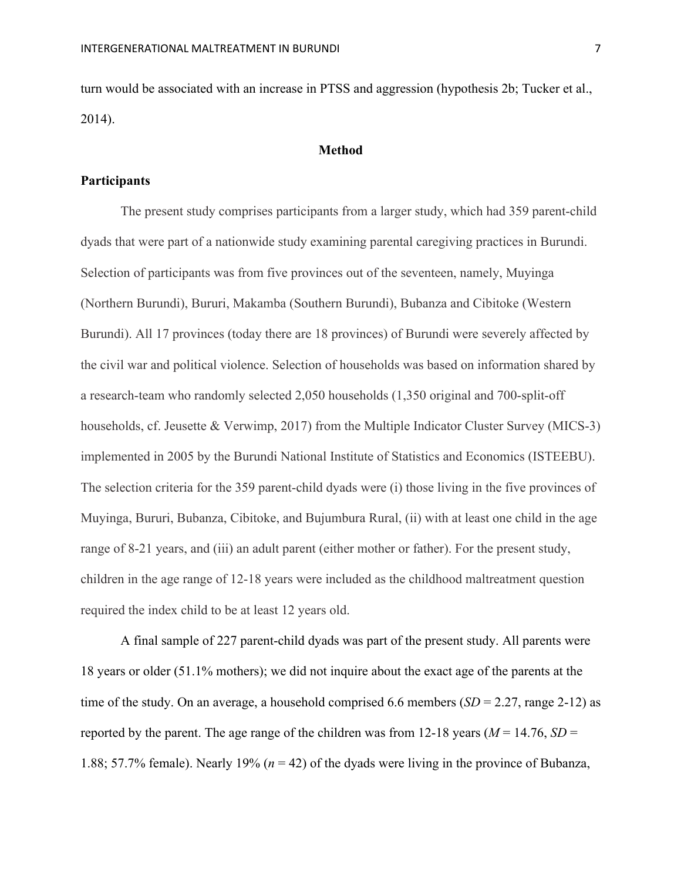turn would be associated with an increase in PTSS and aggression (hypothesis 2b; Tucker et al., 2014).

#### **Method**

#### **Participants**

The present study comprises participants from a larger study, which had 359 parent-child dyads that were part of a nationwide study examining parental caregiving practices in Burundi. Selection of participants was from five provinces out of the seventeen, namely, Muyinga (Northern Burundi), Bururi, Makamba (Southern Burundi), Bubanza and Cibitoke (Western Burundi). All 17 provinces (today there are 18 provinces) of Burundi were severely affected by the civil war and political violence. Selection of households was based on information shared by a research-team who randomly selected 2,050 households (1,350 original and 700-split-off households, cf. Jeusette & Verwimp, 2017) from the Multiple Indicator Cluster Survey (MICS-3) implemented in 2005 by the Burundi National Institute of Statistics and Economics (ISTEEBU). The selection criteria for the 359 parent-child dyads were (i) those living in the five provinces of Muyinga, Bururi, Bubanza, Cibitoke, and Bujumbura Rural, (ii) with at least one child in the age range of 8-21 years, and (iii) an adult parent (either mother or father). For the present study, children in the age range of 12-18 years were included as the childhood maltreatment question required the index child to be at least 12 years old.

A final sample of 227 parent-child dyads was part of the present study. All parents were 18 years or older (51.1% mothers); we did not inquire about the exact age of the parents at the time of the study. On an average, a household comprised 6.6 members  $(SD = 2.27$ , range 2-12) as reported by the parent. The age range of the children was from 12-18 years ( $M = 14.76$ ,  $SD =$ 1.88; 57.7% female). Nearly 19% (*n* = 42) of the dyads were living in the province of Bubanza,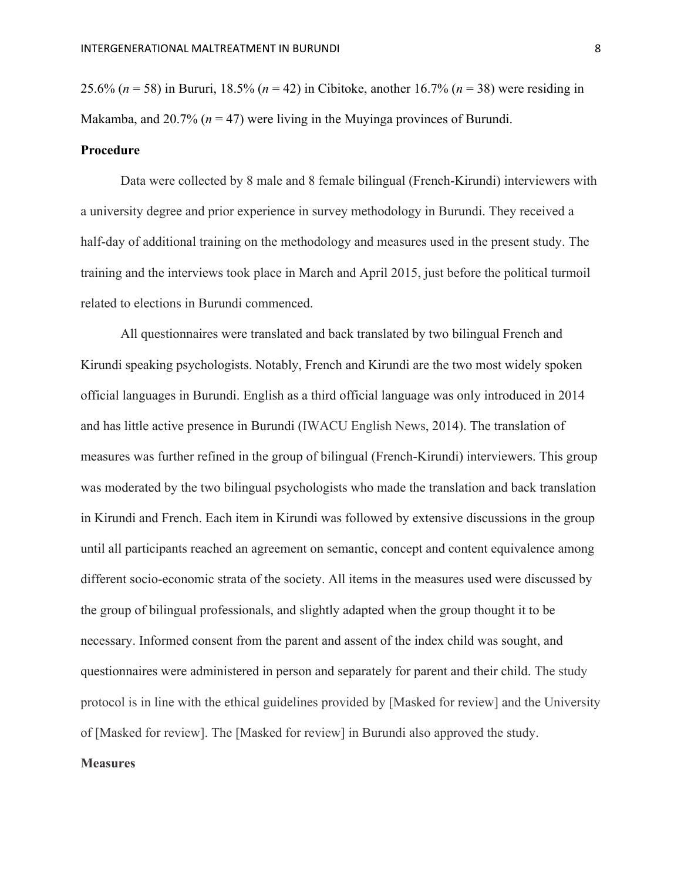25.6% (*n* = 58) in Bururi, 18.5% (*n* = 42) in Cibitoke, another 16.7% (*n* = 38) were residing in Makamba, and 20.7% (*n* = 47) were living in the Muyinga provinces of Burundi.

#### **Procedure**

Data were collected by 8 male and 8 female bilingual (French-Kirundi) interviewers with a university degree and prior experience in survey methodology in Burundi. They received a half-day of additional training on the methodology and measures used in the present study. The training and the interviews took place in March and April 2015, just before the political turmoil related to elections in Burundi commenced.

All questionnaires were translated and back translated by two bilingual French and Kirundi speaking psychologists. Notably, French and Kirundi are the two most widely spoken official languages in Burundi. English as a third official language was only introduced in 2014 and has little active presence in Burundi (IWACU English News, 2014). The translation of measures was further refined in the group of bilingual (French-Kirundi) interviewers. This group was moderated by the two bilingual psychologists who made the translation and back translation in Kirundi and French. Each item in Kirundi was followed by extensive discussions in the group until all participants reached an agreement on semantic, concept and content equivalence among different socio-economic strata of the society. All items in the measures used were discussed by the group of bilingual professionals, and slightly adapted when the group thought it to be necessary. Informed consent from the parent and assent of the index child was sought, and questionnaires were administered in person and separately for parent and their child. The study protocol is in line with the ethical guidelines provided by [Masked for review] and the University of [Masked for review]. The [Masked for review] in Burundi also approved the study.

#### **Measures**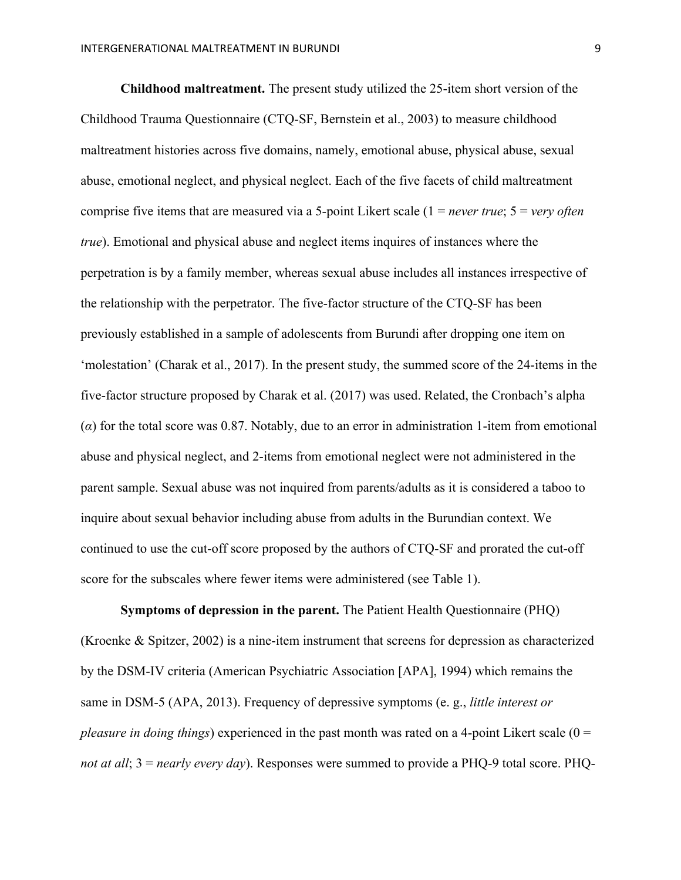**Childhood maltreatment.** The present study utilized the 25-item short version of the Childhood Trauma Questionnaire (CTQ-SF, Bernstein et al., 2003) to measure childhood maltreatment histories across five domains, namely, emotional abuse, physical abuse, sexual abuse, emotional neglect, and physical neglect. Each of the five facets of child maltreatment comprise five items that are measured via a 5-point Likert scale (1 = *never true*; 5 = *very often true*). Emotional and physical abuse and neglect items inquires of instances where the perpetration is by a family member, whereas sexual abuse includes all instances irrespective of the relationship with the perpetrator. The five-factor structure of the CTQ-SF has been previously established in a sample of adolescents from Burundi after dropping one item on 'molestation' (Charak et al., 2017). In the present study, the summed score of the 24-items in the five-factor structure proposed by Charak et al. (2017) was used. Related, the Cronbach's alpha (*α*) for the total score was 0.87. Notably, due to an error in administration 1-item from emotional abuse and physical neglect, and 2-items from emotional neglect were not administered in the parent sample. Sexual abuse was not inquired from parents/adults as it is considered a taboo to inquire about sexual behavior including abuse from adults in the Burundian context. We continued to use the cut-off score proposed by the authors of CTQ-SF and prorated the cut-off score for the subscales where fewer items were administered (see Table 1).

**Symptoms of depression in the parent.** The Patient Health Questionnaire (PHQ) (Kroenke & Spitzer, 2002) is a nine-item instrument that screens for depression as characterized by the DSM-IV criteria (American Psychiatric Association [APA], 1994) which remains the same in DSM-5 (APA, 2013). Frequency of depressive symptoms (e. g., *little interest or pleasure in doing things*) experienced in the past month was rated on a 4-point Likert scale (0 = *not at all*; 3 = *nearly every day*). Responses were summed to provide a PHQ-9 total score. PHQ-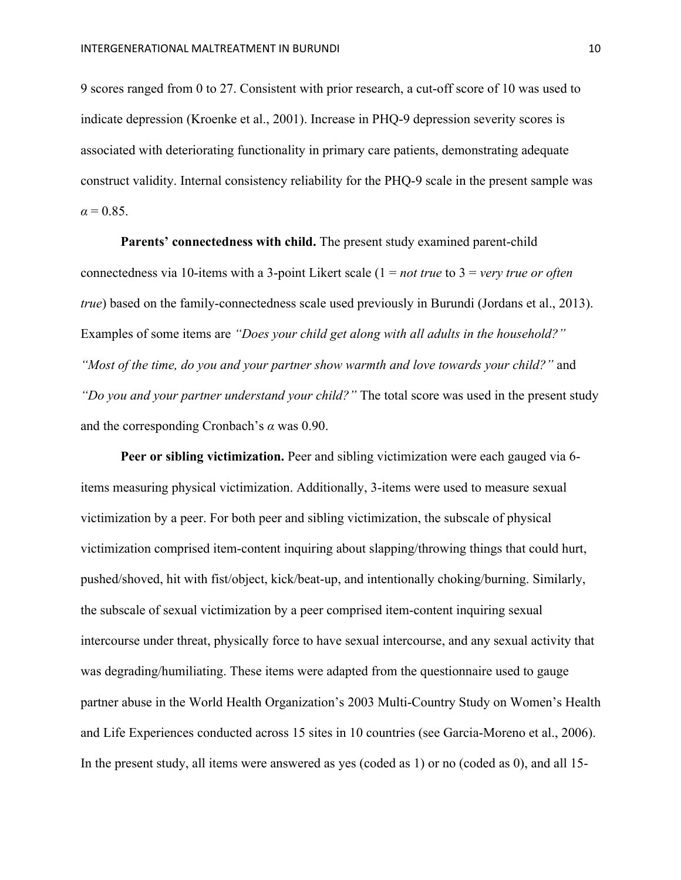9 scores ranged from 0 to 27. Consistent with prior research, a cut-off score of 10 was used to indicate depression (Kroenke et al., 2001). Increase in PHQ-9 depression severity scores is associated with deteriorating functionality in primary care patients, demonstrating adequate construct validity. Internal consistency reliability for the PHQ-9 scale in the present sample was  $\alpha = 0.85$ .

**Parents' connectedness with child.** The present study examined parent-child connectedness via 10-items with a 3-point Likert scale (1 = *not true* to 3 = *very true or often true*) based on the family-connectedness scale used previously in Burundi (Jordans et al., 2013). Examples of some items are *"Does your child get along with all adults in the household?" "Most of the time, do you and your partner show warmth and love towards your child?"* and *"Do you and your partner understand your child?"* The total score was used in the present study and the corresponding Cronbach's *α* was 0.90.

**Peer or sibling victimization.** Peer and sibling victimization were each gauged via 6 items measuring physical victimization. Additionally, 3-items were used to measure sexual victimization by a peer. For both peer and sibling victimization, the subscale of physical victimization comprised item-content inquiring about slapping/throwing things that could hurt, pushed/shoved, hit with fist/object, kick/beat-up, and intentionally choking/burning. Similarly, the subscale of sexual victimization by a peer comprised item-content inquiring sexual intercourse under threat, physically force to have sexual intercourse, and any sexual activity that was degrading/humiliating. These items were adapted from the questionnaire used to gauge partner abuse in the World Health Organization's 2003 Multi-Country Study on Women's Health and Life Experiences conducted across 15 sites in 10 countries (see Garcia-Moreno et al., 2006). In the present study, all items were answered as yes (coded as 1) or no (coded as 0), and all 15-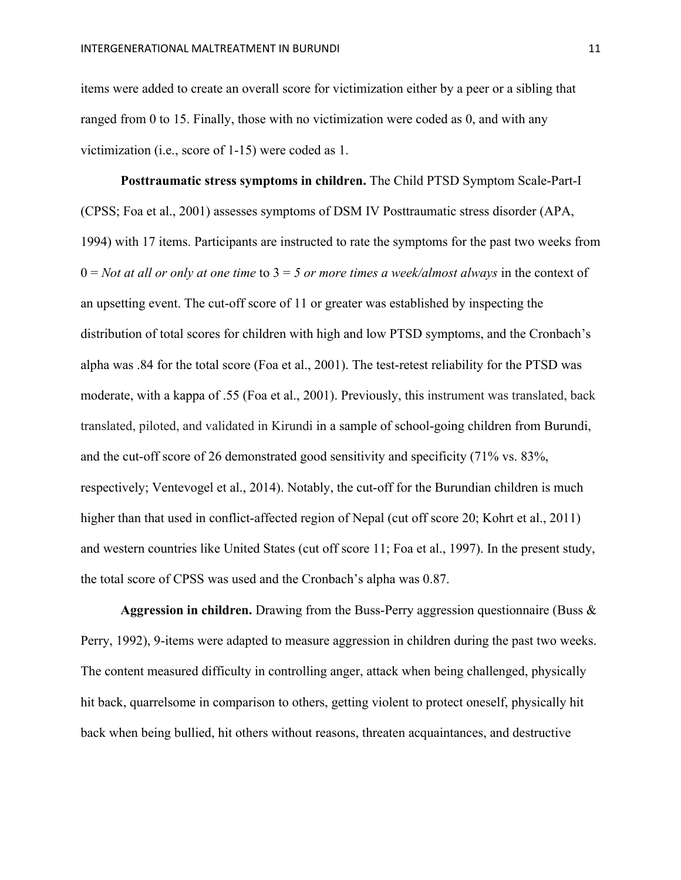items were added to create an overall score for victimization either by a peer or a sibling that ranged from 0 to 15. Finally, those with no victimization were coded as 0, and with any victimization (i.e., score of 1-15) were coded as 1.

**Posttraumatic stress symptoms in children.** The Child PTSD Symptom Scale-Part-I (CPSS; Foa et al., 2001) assesses symptoms of DSM IV Posttraumatic stress disorder (APA, 1994) with 17 items. Participants are instructed to rate the symptoms for the past two weeks from 0 = *Not at all or only at one time* to 3 = *5 or more times a week/almost always* in the context of an upsetting event. The cut-off score of 11 or greater was established by inspecting the distribution of total scores for children with high and low PTSD symptoms, and the Cronbach's alpha was .84 for the total score (Foa et al., 2001). The test-retest reliability for the PTSD was moderate, with a kappa of .55 (Foa et al., 2001). Previously, this instrument was translated, back translated, piloted, and validated in Kirundi in a sample of school-going children from Burundi, and the cut-off score of 26 demonstrated good sensitivity and specificity (71% vs. 83%, respectively; Ventevogel et al., 2014). Notably, the cut-off for the Burundian children is much higher than that used in conflict-affected region of Nepal (cut off score 20; Kohrt et al., 2011) and western countries like United States (cut off score 11; Foa et al., 1997). In the present study, the total score of CPSS was used and the Cronbach's alpha was 0.87.

**Aggression in children.** Drawing from the Buss-Perry aggression questionnaire (Buss & Perry, 1992), 9-items were adapted to measure aggression in children during the past two weeks. The content measured difficulty in controlling anger, attack when being challenged, physically hit back, quarrelsome in comparison to others, getting violent to protect oneself, physically hit back when being bullied, hit others without reasons, threaten acquaintances, and destructive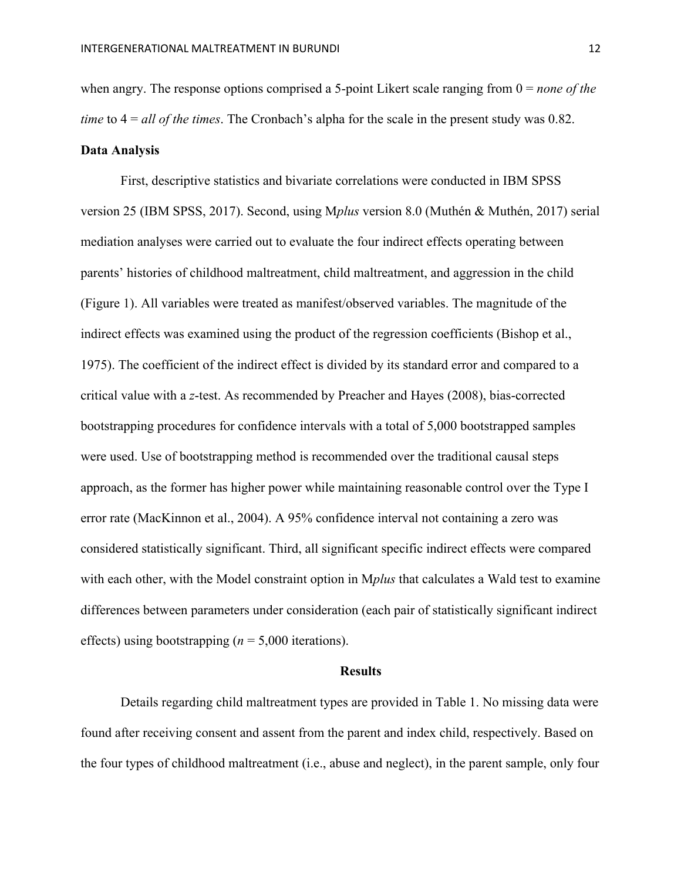when angry. The response options comprised a 5-point Likert scale ranging from 0 = *none of the time* to 4 = *all of the times*. The Cronbach's alpha for the scale in the present study was 0.82. **Data Analysis**

First, descriptive statistics and bivariate correlations were conducted in IBM SPSS version 25 (IBM SPSS, 2017). Second, using M*plus* version 8.0 (Muthén & Muthén, 2017) serial mediation analyses were carried out to evaluate the four indirect effects operating between parents' histories of childhood maltreatment, child maltreatment, and aggression in the child (Figure 1). All variables were treated as manifest/observed variables. The magnitude of the indirect effects was examined using the product of the regression coefficients (Bishop et al., 1975). The coefficient of the indirect effect is divided by its standard error and compared to a critical value with a *z*-test. As recommended by Preacher and Hayes (2008), bias-corrected bootstrapping procedures for confidence intervals with a total of 5,000 bootstrapped samples were used. Use of bootstrapping method is recommended over the traditional causal steps approach, as the former has higher power while maintaining reasonable control over the Type I error rate (MacKinnon et al., 2004). A 95% confidence interval not containing a zero was considered statistically significant. Third, all significant specific indirect effects were compared with each other, with the Model constraint option in M*plus* that calculates a Wald test to examine differences between parameters under consideration (each pair of statistically significant indirect effects) using bootstrapping (*n* = 5,000 iterations).

#### **Results**

Details regarding child maltreatment types are provided in Table 1. No missing data were found after receiving consent and assent from the parent and index child, respectively. Based on the four types of childhood maltreatment (i.e., abuse and neglect), in the parent sample, only four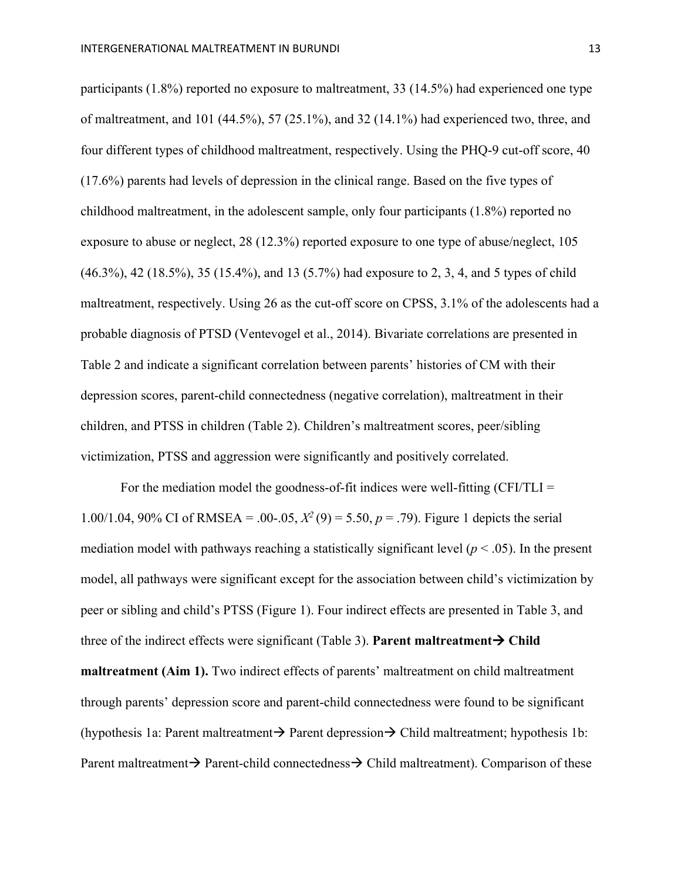participants (1.8%) reported no exposure to maltreatment, 33 (14.5%) had experienced one type of maltreatment, and 101 (44.5%), 57 (25.1%), and 32 (14.1%) had experienced two, three, and four different types of childhood maltreatment, respectively. Using the PHQ-9 cut-off score, 40 (17.6%) parents had levels of depression in the clinical range. Based on the five types of childhood maltreatment, in the adolescent sample, only four participants (1.8%) reported no exposure to abuse or neglect, 28 (12.3%) reported exposure to one type of abuse/neglect, 105 (46.3%), 42 (18.5%), 35 (15.4%), and 13 (5.7%) had exposure to 2, 3, 4, and 5 types of child maltreatment, respectively. Using 26 as the cut-off score on CPSS, 3.1% of the adolescents had a probable diagnosis of PTSD (Ventevogel et al., 2014). Bivariate correlations are presented in Table 2 and indicate a significant correlation between parents' histories of CM with their depression scores, parent-child connectedness (negative correlation), maltreatment in their children, and PTSS in children (Table 2). Children's maltreatment scores, peer/sibling victimization, PTSS and aggression were significantly and positively correlated.

For the mediation model the goodness-of-fit indices were well-fitting  $(CFI/TLI =$ 1.00/1.04, 90% CI of RMSEA = .00-.05,  $X^2(9) = 5.50$ ,  $p = .79$ ). Figure 1 depicts the serial mediation model with pathways reaching a statistically significant level  $(p < .05)$ . In the present model, all pathways were significant except for the association between child's victimization by peer or sibling and child's PTSS (Figure 1). Four indirect effects are presented in Table 3, and three of the indirect effects were significant (Table 3). **Parent maltreatment** $\rightarrow$  Child **maltreatment (Aim 1).** Two indirect effects of parents' maltreatment on child maltreatment through parents' depression score and parent-child connectedness were found to be significant (hypothesis 1a: Parent maltreatment  $\rightarrow$  Parent depression $\rightarrow$  Child maltreatment; hypothesis 1b: Parent maltreatment  $\rightarrow$  Parent-child connectedness  $\rightarrow$  Child maltreatment). Comparison of these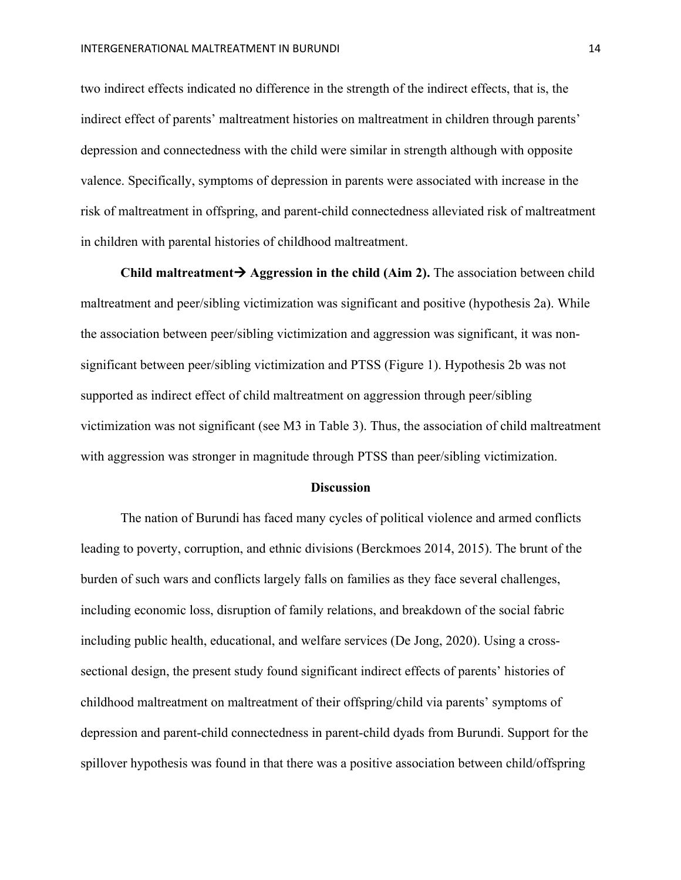two indirect effects indicated no difference in the strength of the indirect effects, that is, the indirect effect of parents' maltreatment histories on maltreatment in children through parents' depression and connectedness with the child were similar in strength although with opposite valence. Specifically, symptoms of depression in parents were associated with increase in the risk of maltreatment in offspring, and parent-child connectedness alleviated risk of maltreatment in children with parental histories of childhood maltreatment.

Child maltreatment  $\rightarrow$  Aggression in the child (Aim 2). The association between child maltreatment and peer/sibling victimization was significant and positive (hypothesis 2a). While the association between peer/sibling victimization and aggression was significant, it was nonsignificant between peer/sibling victimization and PTSS (Figure 1). Hypothesis 2b was not supported as indirect effect of child maltreatment on aggression through peer/sibling victimization was not significant (see M3 in Table 3). Thus, the association of child maltreatment with aggression was stronger in magnitude through PTSS than peer/sibling victimization.

#### **Discussion**

The nation of Burundi has faced many cycles of political violence and armed conflicts leading to poverty, corruption, and ethnic divisions (Berckmoes 2014, 2015). The brunt of the burden of such wars and conflicts largely falls on families as they face several challenges, including economic loss, disruption of family relations, and breakdown of the social fabric including public health, educational, and welfare services (De Jong, 2020). Using a crosssectional design, the present study found significant indirect effects of parents' histories of childhood maltreatment on maltreatment of their offspring/child via parents' symptoms of depression and parent-child connectedness in parent-child dyads from Burundi. Support for the spillover hypothesis was found in that there was a positive association between child/offspring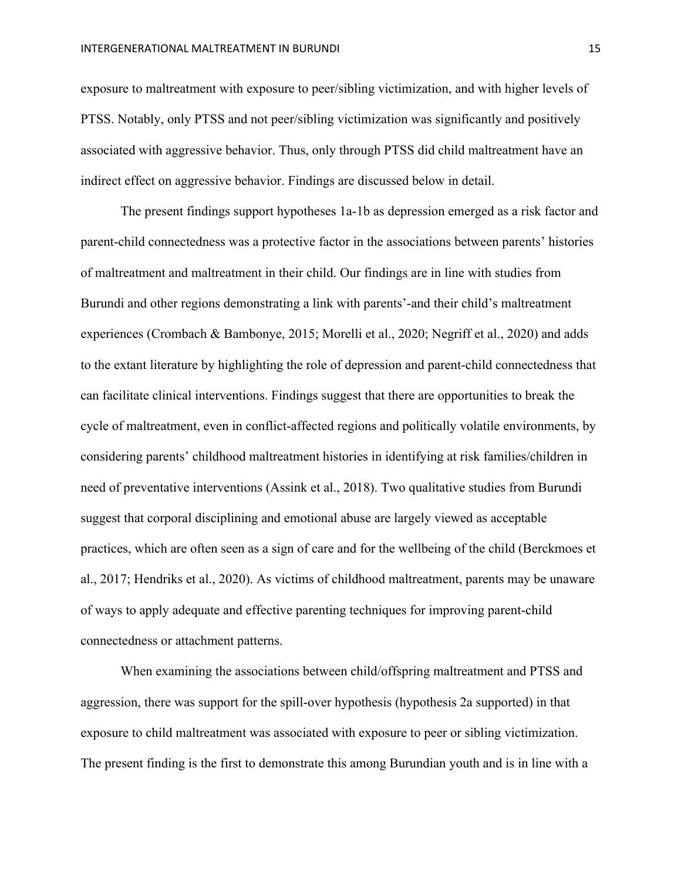exposure to maltreatment with exposure to peer/sibling victimization, and with higher levels of PTSS. Notably, only PTSS and not peer/sibling victimization was significantly and positively associated with aggressive behavior. Thus, only through PTSS did child maltreatment have an indirect effect on aggressive behavior. Findings are discussed below in detail.

The present findings support hypotheses 1a-1b as depression emerged as a risk factor and parent-child connectedness was a protective factor in the associations between parents' histories of maltreatment and maltreatment in their child. Our findings are in line with studies from Burundi and other regions demonstrating a link with parents'-and their child's maltreatment experiences (Crombach & Bambonye, 2015; Morelli et al., 2020; Negriff et al., 2020) and adds to the extant literature by highlighting the role of depression and parent-child connectedness that can facilitate clinical interventions. Findings suggest that there are opportunities to break the cycle of maltreatment, even in conflict-affected regions and politically volatile environments, by considering parents' childhood maltreatment histories in identifying at risk families/children in need of preventative interventions (Assink et al., 2018). Two qualitative studies from Burundi suggest that corporal disciplining and emotional abuse are largely viewed as acceptable practices, which are often seen as a sign of care and for the wellbeing of the child (Berckmoes et al., 2017; Hendriks et al., 2020). As victims of childhood maltreatment, parents may be unaware of ways to apply adequate and effective parenting techniques for improving parent-child connectedness or attachment patterns.

When examining the associations between child/offspring maltreatment and PTSS and aggression, there was support for the spill-over hypothesis (hypothesis 2a supported) in that exposure to child maltreatment was associated with exposure to peer or sibling victimization. The present finding is the first to demonstrate this among Burundian youth and is in line with a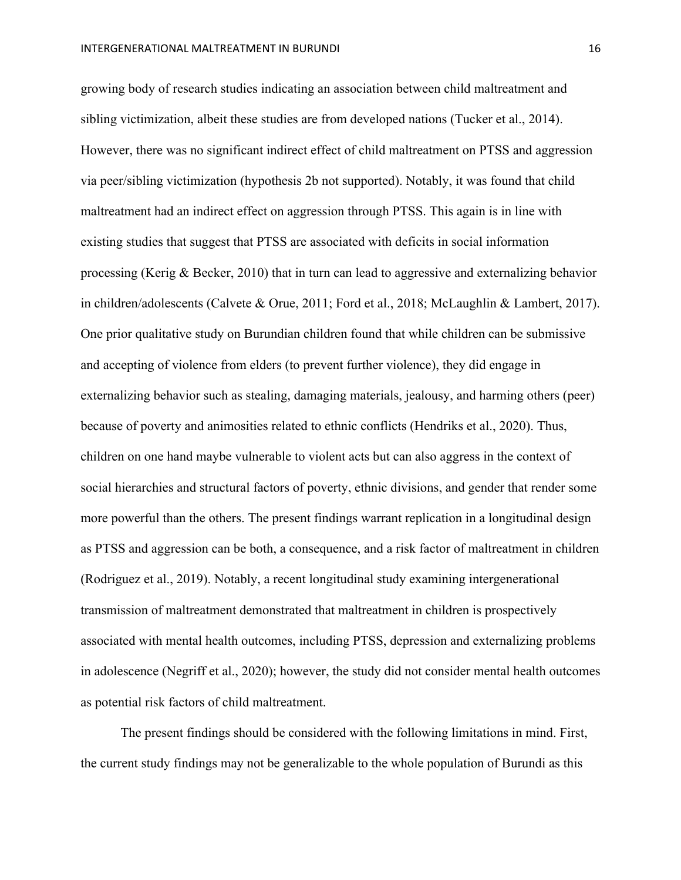growing body of research studies indicating an association between child maltreatment and sibling victimization, albeit these studies are from developed nations (Tucker et al., 2014). However, there was no significant indirect effect of child maltreatment on PTSS and aggression via peer/sibling victimization (hypothesis 2b not supported). Notably, it was found that child maltreatment had an indirect effect on aggression through PTSS. This again is in line with existing studies that suggest that PTSS are associated with deficits in social information processing (Kerig & Becker, 2010) that in turn can lead to aggressive and externalizing behavior in children/adolescents (Calvete & Orue, 2011; Ford et al., 2018; McLaughlin & Lambert, 2017). One prior qualitative study on Burundian children found that while children can be submissive and accepting of violence from elders (to prevent further violence), they did engage in externalizing behavior such as stealing, damaging materials, jealousy, and harming others (peer) because of poverty and animosities related to ethnic conflicts (Hendriks et al., 2020). Thus, children on one hand maybe vulnerable to violent acts but can also aggress in the context of social hierarchies and structural factors of poverty, ethnic divisions, and gender that render some more powerful than the others. The present findings warrant replication in a longitudinal design as PTSS and aggression can be both, a consequence, and a risk factor of maltreatment in children (Rodriguez et al., 2019). Notably, a recent longitudinal study examining intergenerational transmission of maltreatment demonstrated that maltreatment in children is prospectively associated with mental health outcomes, including PTSS, depression and externalizing problems in adolescence (Negriff et al., 2020); however, the study did not consider mental health outcomes as potential risk factors of child maltreatment.

The present findings should be considered with the following limitations in mind. First, the current study findings may not be generalizable to the whole population of Burundi as this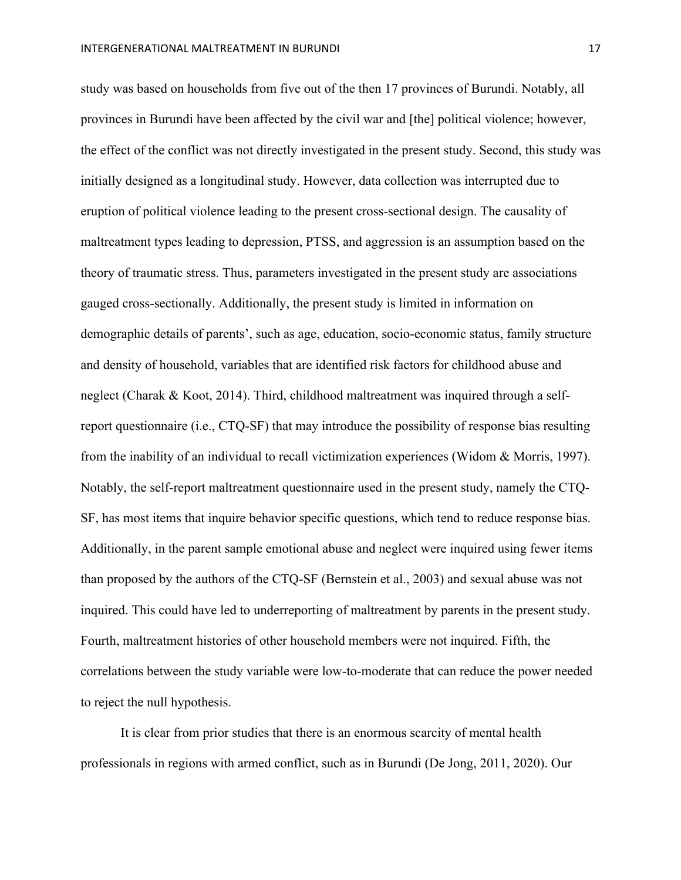study was based on households from five out of the then 17 provinces of Burundi. Notably, all provinces in Burundi have been affected by the civil war and [the] political violence; however, the effect of the conflict was not directly investigated in the present study. Second, this study was initially designed as a longitudinal study. However, data collection was interrupted due to eruption of political violence leading to the present cross-sectional design. The causality of maltreatment types leading to depression, PTSS, and aggression is an assumption based on the theory of traumatic stress. Thus, parameters investigated in the present study are associations gauged cross-sectionally. Additionally, the present study is limited in information on demographic details of parents', such as age, education, socio-economic status, family structure and density of household, variables that are identified risk factors for childhood abuse and neglect (Charak & Koot, 2014). Third, childhood maltreatment was inquired through a selfreport questionnaire (i.e., CTQ-SF) that may introduce the possibility of response bias resulting from the inability of an individual to recall victimization experiences (Widom & Morris, 1997). Notably, the self-report maltreatment questionnaire used in the present study, namely the CTQ-SF, has most items that inquire behavior specific questions, which tend to reduce response bias. Additionally, in the parent sample emotional abuse and neglect were inquired using fewer items than proposed by the authors of the CTQ-SF (Bernstein et al., 2003) and sexual abuse was not inquired. This could have led to underreporting of maltreatment by parents in the present study. Fourth, maltreatment histories of other household members were not inquired. Fifth, the correlations between the study variable were low-to-moderate that can reduce the power needed to reject the null hypothesis.

It is clear from prior studies that there is an enormous scarcity of mental health professionals in regions with armed conflict, such as in Burundi (De Jong, 2011, 2020). Our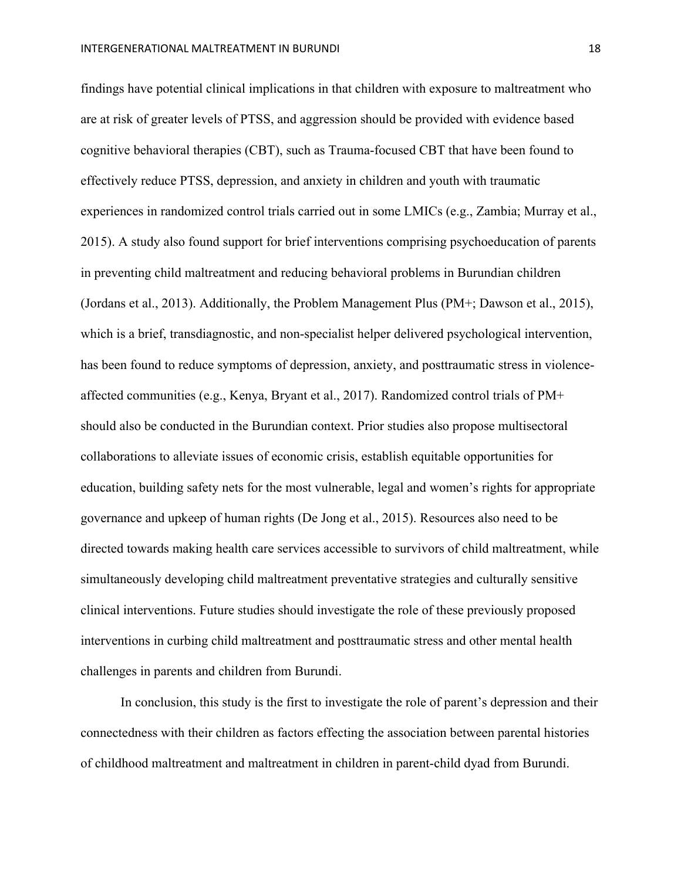findings have potential clinical implications in that children with exposure to maltreatment who are at risk of greater levels of PTSS, and aggression should be provided with evidence based cognitive behavioral therapies (CBT), such as Trauma-focused CBT that have been found to effectively reduce PTSS, depression, and anxiety in children and youth with traumatic experiences in randomized control trials carried out in some LMICs (e.g., Zambia; Murray et al., 2015). A study also found support for brief interventions comprising psychoeducation of parents in preventing child maltreatment and reducing behavioral problems in Burundian children (Jordans et al., 2013). Additionally, the Problem Management Plus (PM+; Dawson et al., 2015), which is a brief, transdiagnostic, and non-specialist helper delivered psychological intervention, has been found to reduce symptoms of depression, anxiety, and posttraumatic stress in violenceaffected communities (e.g., Kenya, Bryant et al., 2017). Randomized control trials of PM+ should also be conducted in the Burundian context. Prior studies also propose multisectoral collaborations to alleviate issues of economic crisis, establish equitable opportunities for education, building safety nets for the most vulnerable, legal and women's rights for appropriate governance and upkeep of human rights (De Jong et al., 2015). Resources also need to be directed towards making health care services accessible to survivors of child maltreatment, while simultaneously developing child maltreatment preventative strategies and culturally sensitive clinical interventions. Future studies should investigate the role of these previously proposed interventions in curbing child maltreatment and posttraumatic stress and other mental health challenges in parents and children from Burundi.

In conclusion, this study is the first to investigate the role of parent's depression and their connectedness with their children as factors effecting the association between parental histories of childhood maltreatment and maltreatment in children in parent-child dyad from Burundi.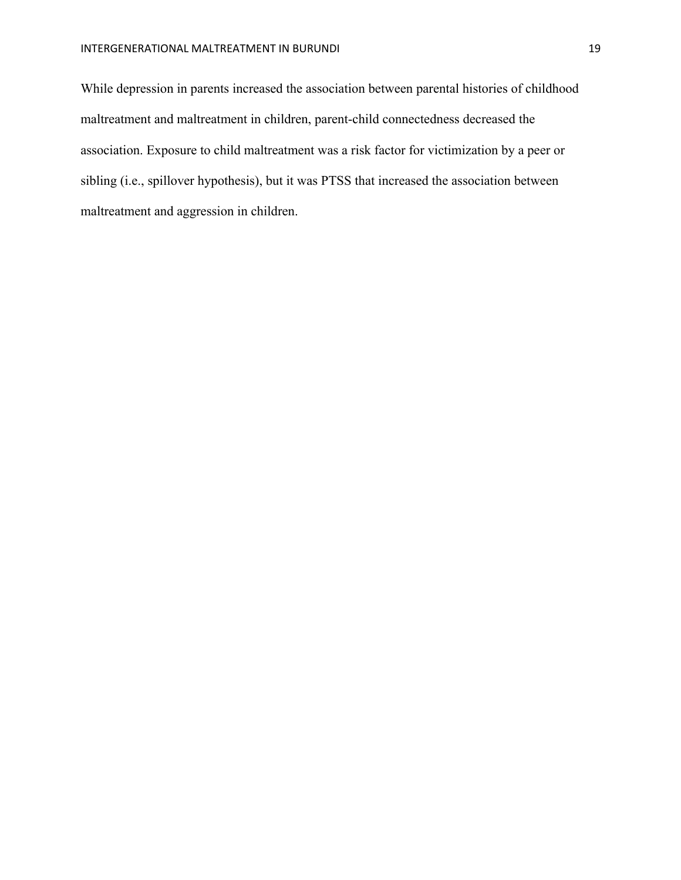While depression in parents increased the association between parental histories of childhood maltreatment and maltreatment in children, parent-child connectedness decreased the association. Exposure to child maltreatment was a risk factor for victimization by a peer or sibling (i.e., spillover hypothesis), but it was PTSS that increased the association between maltreatment and aggression in children.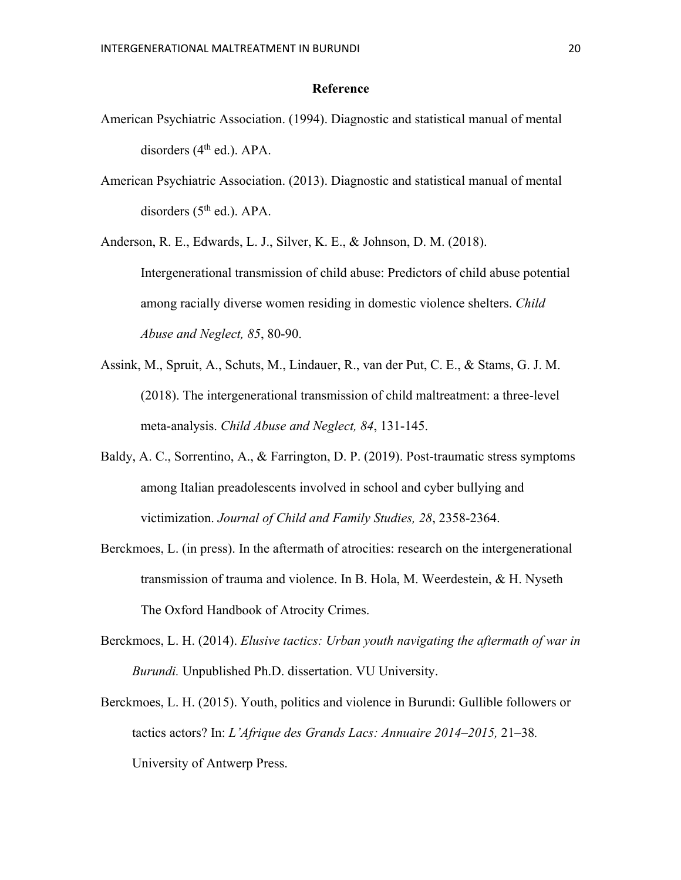#### **Reference**

- American Psychiatric Association. (1994). Diagnostic and statistical manual of mental disorders (4<sup>th</sup> ed.). APA.
- American Psychiatric Association. (2013). Diagnostic and statistical manual of mental disorders  $(5<sup>th</sup>$  ed.). APA.

Anderson, R. E., Edwards, L. J., Silver, K. E., & Johnson, D. M. (2018). Intergenerational transmission of child abuse: Predictors of child abuse potential among racially diverse women residing in domestic violence shelters. *Child Abuse and Neglect, 85*, 80-90.

- Assink, M., Spruit, A., Schuts, M., Lindauer, R., van der Put, C. E., & Stams, G. J. M. (2018). The intergenerational transmission of child maltreatment: a three-level meta-analysis. *Child Abuse and Neglect, 84*, 131-145.
- Baldy, A. C., Sorrentino, A., & Farrington, D. P. (2019). Post-traumatic stress symptoms among Italian preadolescents involved in school and cyber bullying and victimization. *Journal of Child and Family Studies, 28*, 2358-2364.
- Berckmoes, L. (in press). In the aftermath of atrocities: research on the intergenerational transmission of trauma and violence. In B. Hola, M. Weerdestein, & H. Nyseth The Oxford Handbook of Atrocity Crimes.
- Berckmoes, L. H. (2014). *Elusive tactics: Urban youth navigating the aftermath of war in Burundi.* Unpublished Ph.D. dissertation. VU University.
- Berckmoes, L. H. (2015). Youth, politics and violence in Burundi: Gullible followers or tactics actors? In: *L'Afrique des Grands Lacs: Annuaire 2014–2015,* 21–38*.*  University of Antwerp Press.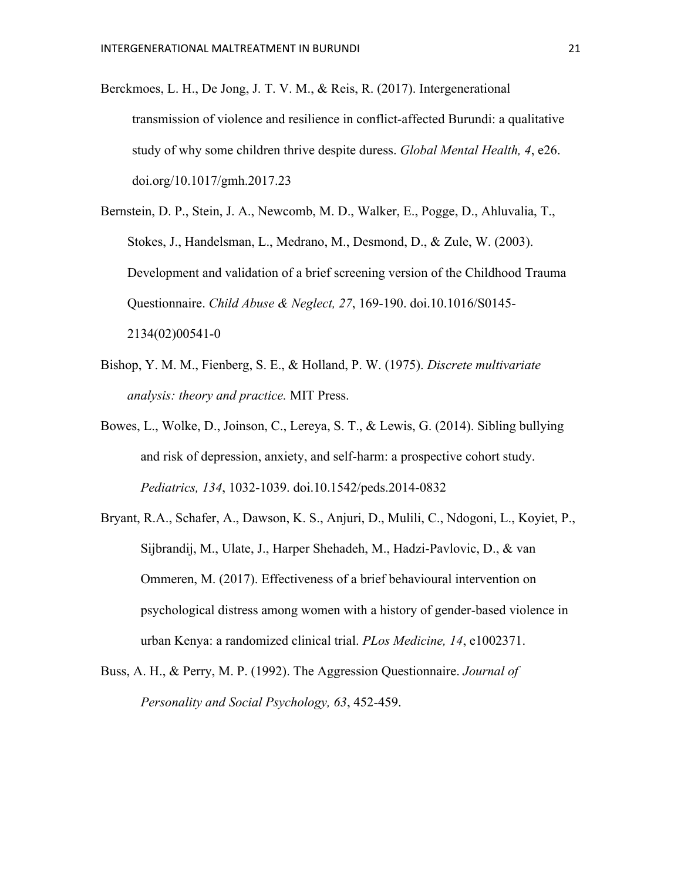- Berckmoes, L. H., De Jong, J. T. V. M., & Reis, R. (2017). Intergenerational transmission of violence and resilience in conflict-affected Burundi: a qualitative study of why some children thrive despite duress. *Global Mental Health, 4*, e26. doi.org/10.1017/gmh.2017.23
- Bernstein, D. P., Stein, J. A., Newcomb, M. D., Walker, E., Pogge, D., Ahluvalia, T., Stokes, J., Handelsman, L., Medrano, M., Desmond, D., & Zule, W. (2003). Development and validation of a brief screening version of the Childhood Trauma Questionnaire. *Child Abuse & Neglect, 27*, 169-190. doi.10.1016/S0145- 2134(02)00541-0
- Bishop, Y. M. M., Fienberg, S. E., & Holland, P. W. (1975). *Discrete multivariate analysis: theory and practice.* MIT Press.
- Bowes, L., Wolke, D., Joinson, C., Lereya, S. T., & Lewis, G. (2014). Sibling bullying and risk of depression, anxiety, and self-harm: a prospective cohort study. *Pediatrics, 134*, 1032-1039. doi.10.1542/peds.2014-0832
- Bryant, R.A., Schafer, A., Dawson, K. S., Anjuri, D., Mulili, C., Ndogoni, L., Koyiet, P., Sijbrandij, M., Ulate, J., Harper Shehadeh, M., Hadzi-Pavlovic, D., & van Ommeren, M. (2017). Effectiveness of a brief behavioural intervention on psychological distress among women with a history of gender-based violence in urban Kenya: a randomized clinical trial. *PLos Medicine, 14*, e1002371.
- Buss, A. H., & Perry, M. P. (1992). The Aggression Questionnaire. *Journal of Personality and Social Psychology, 63*, 452-459.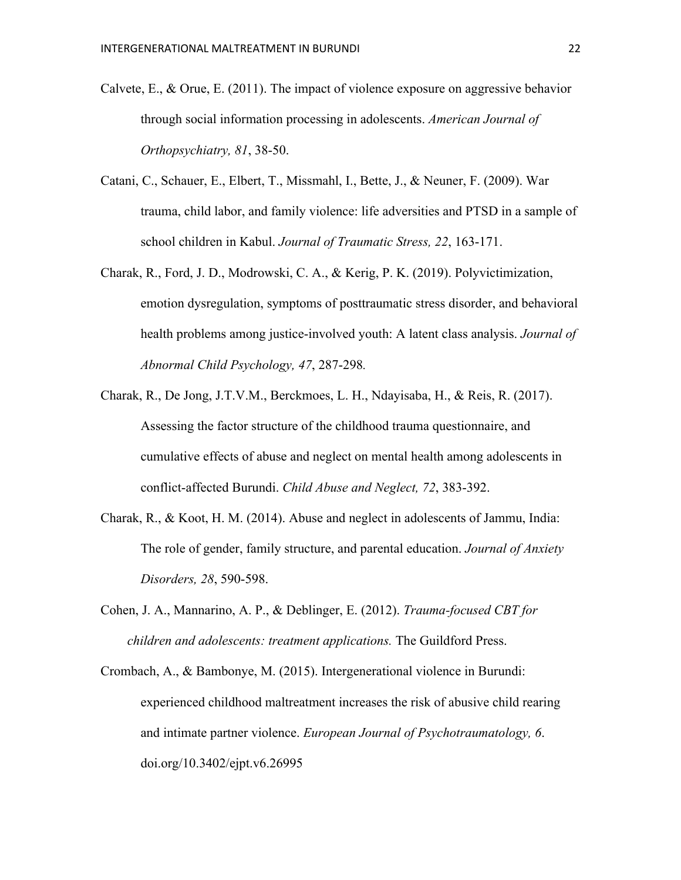- Calvete, E., & Orue, E. (2011). The impact of violence exposure on aggressive behavior through social information processing in adolescents. *American Journal of Orthopsychiatry, 81*, 38-50.
- Catani, C., Schauer, E., Elbert, T., Missmahl, I., Bette, J., & Neuner, F. (2009). War trauma, child labor, and family violence: life adversities and PTSD in a sample of school children in Kabul. *Journal of Traumatic Stress, 22*, 163-171.
- Charak, R., Ford, J. D., Modrowski, C. A., & Kerig, P. K. (2019). Polyvictimization, emotion dysregulation, symptoms of posttraumatic stress disorder, and behavioral health problems among justice-involved youth: A latent class analysis. *Journal of Abnormal Child Psychology, 47*, 287-298*.*
- Charak, R., De Jong, J.T.V.M., Berckmoes, L. H., Ndayisaba, H., & Reis, R. (2017). Assessing the factor structure of the childhood trauma questionnaire, and cumulative effects of abuse and neglect on mental health among adolescents in conflict-affected Burundi. *Child Abuse and Neglect, 72*, 383-392.
- Charak, R., & Koot, H. M. (2014). Abuse and neglect in adolescents of Jammu, India: The role of gender, family structure, and parental education. *Journal of Anxiety Disorders, 28*, 590-598.
- Cohen, J. A., Mannarino, A. P., & Deblinger, E. (2012). *Trauma-focused CBT for children and adolescents: treatment applications.* The Guildford Press.
- Crombach, A., & Bambonye, M. (2015). Intergenerational violence in Burundi: experienced childhood maltreatment increases the risk of abusive child rearing and intimate partner violence. *European Journal of Psychotraumatology, 6*. doi.org/10.3402/ejpt.v6.26995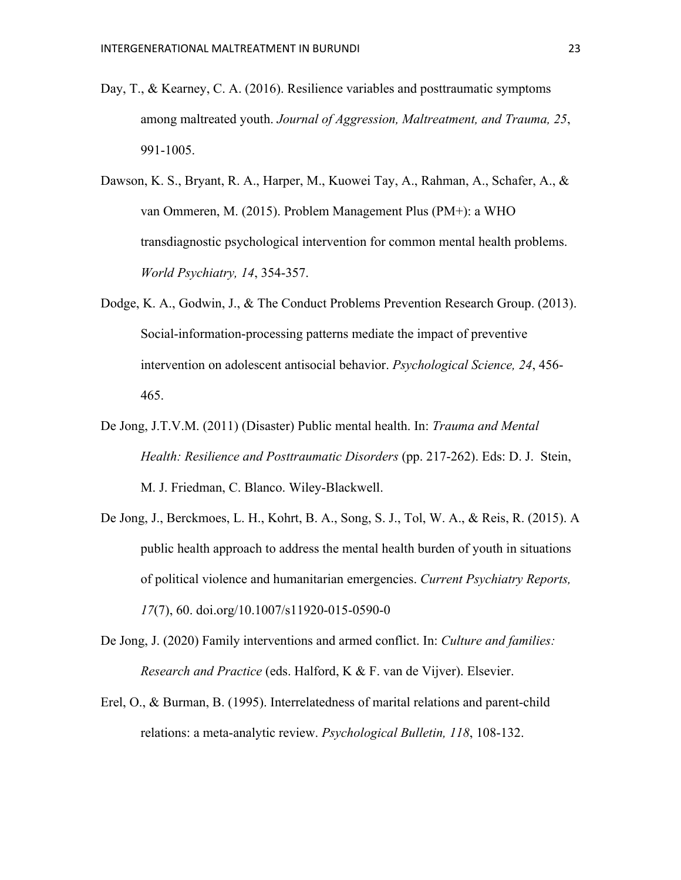- Day, T., & Kearney, C. A. (2016). Resilience variables and posttraumatic symptoms among maltreated youth. *Journal of Aggression, Maltreatment, and Trauma, 25*, 991-1005.
- Dawson, K. S., Bryant, R. A., Harper, M., Kuowei Tay, A., Rahman, A., Schafer, A., & van Ommeren, M. (2015). Problem Management Plus (PM+): a WHO transdiagnostic psychological intervention for common mental health problems. *World Psychiatry, 14*, 354-357.
- Dodge, K. A., Godwin, J., & The Conduct Problems Prevention Research Group. (2013). Social-information-processing patterns mediate the impact of preventive intervention on adolescent antisocial behavior. *Psychological Science, 24*, 456- 465.
- De Jong, J.T.V.M. (2011) (Disaster) Public mental health. In: *Trauma and Mental Health: Resilience and Posttraumatic Disorders* (pp. 217-262). Eds: D. J. Stein, M. J. Friedman, C. Blanco. Wiley-Blackwell.
- De Jong, J., Berckmoes, L. H., Kohrt, B. A., Song, S. J., Tol, W. A., & Reis, R. (2015). A public health approach to address the mental health burden of youth in situations of political violence and humanitarian emergencies. *Current Psychiatry Reports, 17*(7), 60. doi.org/10.1007/s11920-015-0590-0
- De Jong, J. (2020) Family interventions and armed conflict. In: *Culture and families: Research and Practice* (eds. Halford, K & F. van de Vijver). Elsevier.
- Erel, O., & Burman, B. (1995). Interrelatedness of marital relations and parent-child relations: a meta-analytic review. *Psychological Bulletin, 118*, 108-132.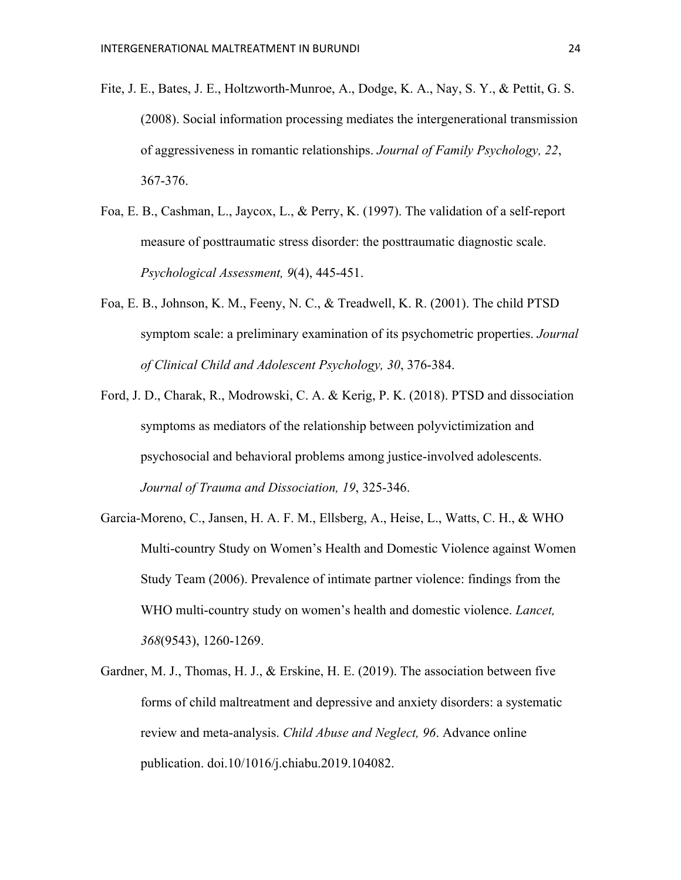- Fite, J. E., Bates, J. E., Holtzworth-Munroe, A., Dodge, K. A., Nay, S. Y., & Pettit, G. S. (2008). Social information processing mediates the intergenerational transmission of aggressiveness in romantic relationships. *Journal of Family Psychology, 22*, 367-376.
- Foa, E. B., Cashman, L., Jaycox, L., & Perry, K. (1997). The validation of a self-report measure of posttraumatic stress disorder: the posttraumatic diagnostic scale. *Psychological Assessment, 9*(4), 445-451.
- Foa, E. B., Johnson, K. M., Feeny, N. C., & Treadwell, K. R. (2001). The child PTSD symptom scale: a preliminary examination of its psychometric properties. *Journal of Clinical Child and Adolescent Psychology, 30*, 376-384.
- Ford, J. D., Charak, R., Modrowski, C. A. & Kerig, P. K. (2018). PTSD and dissociation symptoms as mediators of the relationship between polyvictimization and psychosocial and behavioral problems among justice-involved adolescents. *Journal of Trauma and Dissociation, 19*, 325-346.
- Garcia-Moreno, C., Jansen, H. A. F. M., Ellsberg, A., Heise, L., Watts, C. H., & WHO Multi-country Study on Women's Health and Domestic Violence against Women Study Team (2006). Prevalence of intimate partner violence: findings from the WHO multi-country study on women's health and domestic violence. *Lancet, 368*(9543), 1260-1269.
- Gardner, M. J., Thomas, H. J., & Erskine, H. E. (2019). The association between five forms of child maltreatment and depressive and anxiety disorders: a systematic review and meta-analysis. *Child Abuse and Neglect, 96*. Advance online publication. doi.10/1016/j.chiabu.2019.104082.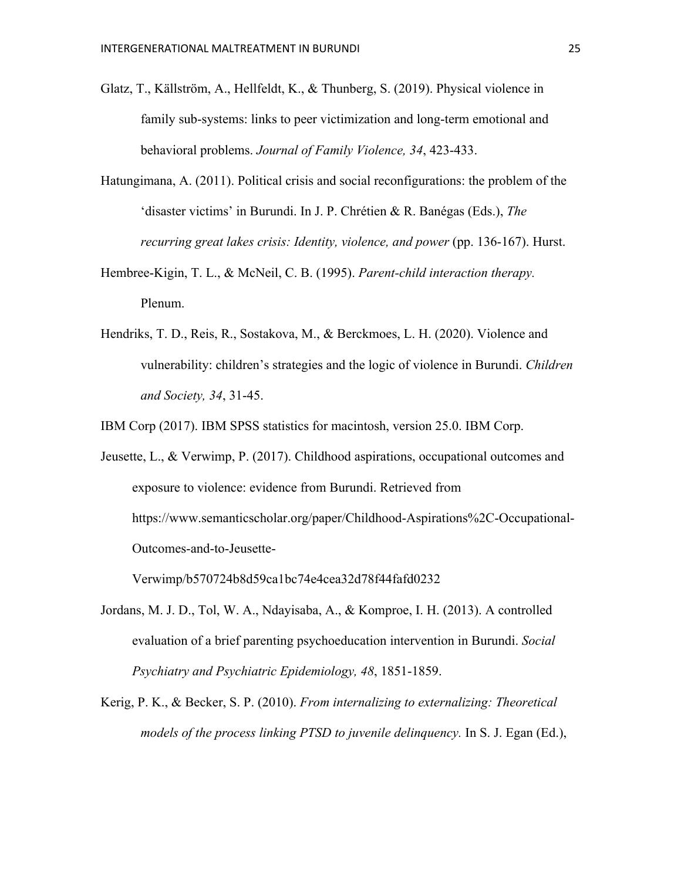- Glatz, T., Källström, A., Hellfeldt, K., & Thunberg, S. (2019). Physical violence in family sub-systems: links to peer victimization and long-term emotional and behavioral problems. *Journal of Family Violence, 34*, 423-433.
- Hatungimana, A. (2011). Political crisis and social reconfigurations: the problem of the 'disaster victims' in Burundi. In J. P. Chrétien & R. Banégas (Eds.), *The recurring great lakes crisis: Identity, violence, and power* (pp. 136-167). Hurst.
- Hembree-Kigin, T. L., & McNeil, C. B. (1995). *Parent-child interaction therapy.* Plenum.
- Hendriks, T. D., Reis, R., Sostakova, M., & Berckmoes, L. H. (2020). Violence and vulnerability: children's strategies and the logic of violence in Burundi. *Children and Society, 34*, 31-45.

IBM Corp (2017). IBM SPSS statistics for macintosh, version 25.0. IBM Corp.

Jeusette, L., & Verwimp, P. (2017). Childhood aspirations, occupational outcomes and exposure to violence: evidence from Burundi. Retrieved from https://www.semanticscholar.org/paper/Childhood-Aspirations%2C-Occupational-Outcomes-and-to-Jeusette-

Verwimp/b570724b8d59ca1bc74e4cea32d78f44fafd0232

- Jordans, M. J. D., Tol, W. A., Ndayisaba, A., & Komproe, I. H. (2013). A controlled evaluation of a brief parenting psychoeducation intervention in Burundi. *Social Psychiatry and Psychiatric Epidemiology, 48*, 1851-1859.
- Kerig, P. K., & Becker, S. P. (2010). *From internalizing to externalizing: Theoretical models of the process linking PTSD to juvenile delinquency.* In S. J. Egan (Ed.),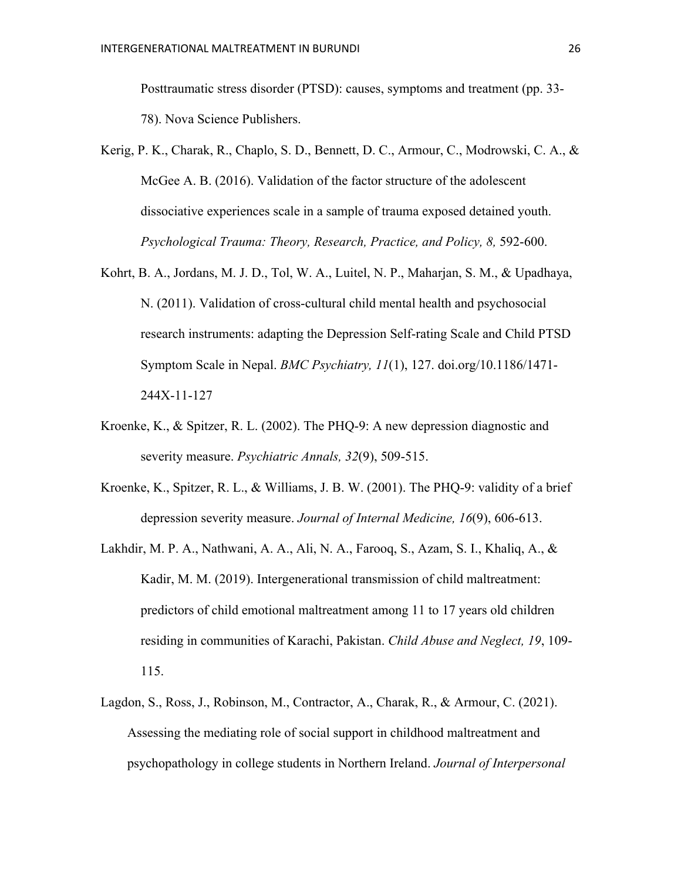Posttraumatic stress disorder (PTSD): causes, symptoms and treatment (pp. 33- 78). Nova Science Publishers.

- Kerig, P. K., Charak, R., Chaplo, S. D., Bennett, D. C., Armour, C., Modrowski, C. A., & McGee A. B. (2016). Validation of the factor structure of the adolescent dissociative experiences scale in a sample of trauma exposed detained youth. *Psychological Trauma: Theory, Research, Practice, and Policy, 8, 592-600.*
- Kohrt, B. A., Jordans, M. J. D., Tol, W. A., Luitel, N. P., Maharjan, S. M., & Upadhaya, N. (2011). Validation of cross-cultural child mental health and psychosocial research instruments: adapting the Depression Self-rating Scale and Child PTSD Symptom Scale in Nepal. *BMC Psychiatry, 11*(1), 127. doi.org/10.1186/1471- 244X-11-127
- Kroenke, K., & Spitzer, R. L. (2002). The PHQ-9: A new depression diagnostic and severity measure. *Psychiatric Annals, 32*(9), 509-515.
- Kroenke, K., Spitzer, R. L., & Williams, J. B. W. (2001). The PHQ-9: validity of a brief depression severity measure. *Journal of Internal Medicine, 16*(9), 606-613.
- Lakhdir, M. P. A., Nathwani, A. A., Ali, N. A., Farooq, S., Azam, S. I., Khaliq, A., & Kadir, M. M. (2019). Intergenerational transmission of child maltreatment: predictors of child emotional maltreatment among 11 to 17 years old children residing in communities of Karachi, Pakistan. *Child Abuse and Neglect, 19*, 109- 115.
- Lagdon, S., Ross, J., Robinson, M., Contractor, A., Charak, R., & Armour, C. (2021). Assessing the mediating role of social support in childhood maltreatment and psychopathology in college students in Northern Ireland. *Journal of Interpersonal*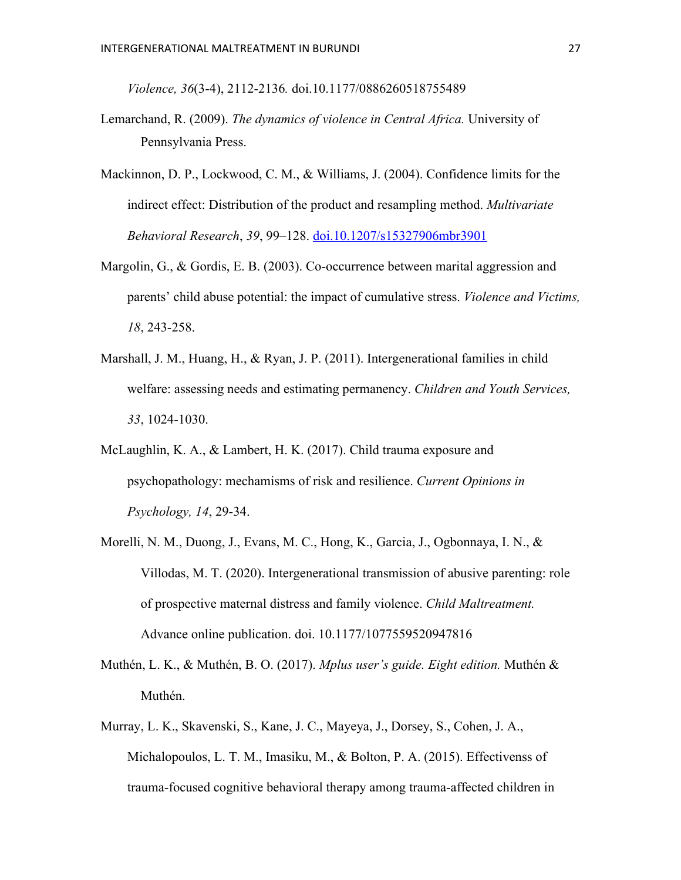*Violence, 36*(3-4), 2112-2136*.* doi.10.1177/0886260518755489

- Lemarchand, R. (2009). *The dynamics of violence in Central Africa.* University of Pennsylvania Press.
- Mackinnon, D. P., Lockwood, C. M., & Williams, J. (2004). Confidence limits for the indirect effect: Distribution of the product and resampling method. *Multivariate Behavioral Research*, *39*, 99–128. doi.10.1207/s15327906mbr3901
- Margolin, G., & Gordis, E. B. (2003). Co-occurrence between marital aggression and parents' child abuse potential: the impact of cumulative stress. *Violence and Victims, 18*, 243-258.
- Marshall, J. M., Huang, H., & Ryan, J. P. (2011). Intergenerational families in child welfare: assessing needs and estimating permanency. *Children and Youth Services, 33*, 1024-1030.
- McLaughlin, K. A., & Lambert, H. K. (2017). Child trauma exposure and psychopathology: mechamisms of risk and resilience. *Current Opinions in Psychology, 14*, 29-34.
- Morelli, N. M., Duong, J., Evans, M. C., Hong, K., Garcia, J., Ogbonnaya, I. N., & Villodas, M. T. (2020). Intergenerational transmission of abusive parenting: role of prospective maternal distress and family violence. *Child Maltreatment.* Advance online publication. doi. 10.1177/1077559520947816
- Muthén, L. K., & Muthén, B. O. (2017). *Mplus user's guide. Eight edition.* Muthén & Muthén.
- Murray, L. K., Skavenski, S., Kane, J. C., Mayeya, J., Dorsey, S., Cohen, J. A., Michalopoulos, L. T. M., Imasiku, M., & Bolton, P. A. (2015). Effectivenss of trauma-focused cognitive behavioral therapy among trauma-affected children in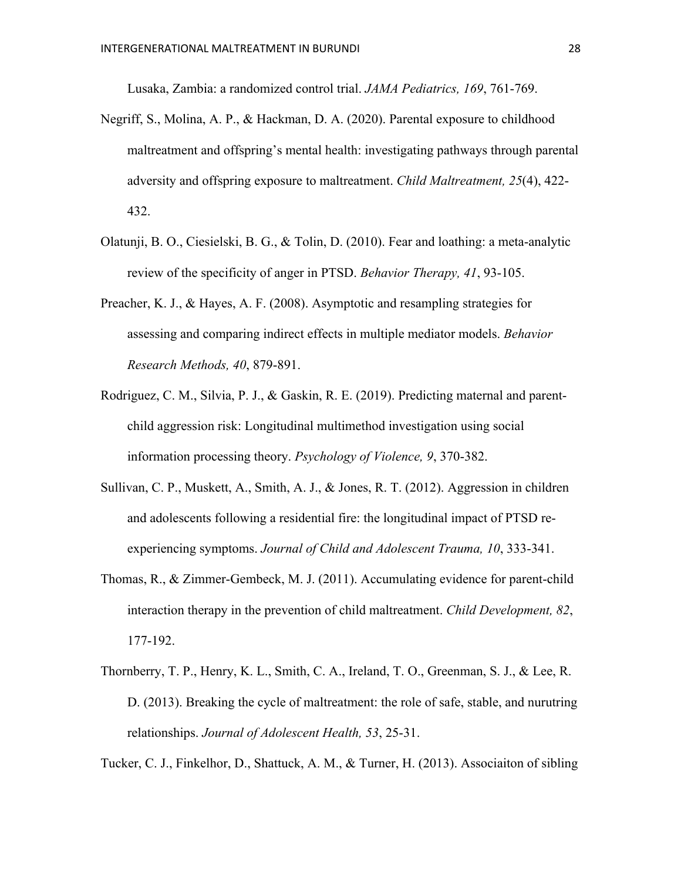Lusaka, Zambia: a randomized control trial. *JAMA Pediatrics, 169*, 761-769.

- Negriff, S., Molina, A. P., & Hackman, D. A. (2020). Parental exposure to childhood maltreatment and offspring's mental health: investigating pathways through parental adversity and offspring exposure to maltreatment. *Child Maltreatment, 25*(4), 422- 432.
- Olatunji, B. O., Ciesielski, B. G., & Tolin, D. (2010). Fear and loathing: a meta-analytic review of the specificity of anger in PTSD. *Behavior Therapy, 41*, 93-105.
- Preacher, K. J., & Hayes, A. F. (2008). Asymptotic and resampling strategies for assessing and comparing indirect effects in multiple mediator models. *Behavior Research Methods, 40*, 879-891.
- Rodriguez, C. M., Silvia, P. J., & Gaskin, R. E. (2019). Predicting maternal and parentchild aggression risk: Longitudinal multimethod investigation using social information processing theory. *Psychology of Violence, 9*, 370-382.
- Sullivan, C. P., Muskett, A., Smith, A. J., & Jones, R. T. (2012). Aggression in children and adolescents following a residential fire: the longitudinal impact of PTSD reexperiencing symptoms. *Journal of Child and Adolescent Trauma, 10*, 333-341.
- Thomas, R., & Zimmer-Gembeck, M. J. (2011). Accumulating evidence for parent-child interaction therapy in the prevention of child maltreatment. *Child Development, 82*, 177-192.
- Thornberry, T. P., Henry, K. L., Smith, C. A., Ireland, T. O., Greenman, S. J., & Lee, R. D. (2013). Breaking the cycle of maltreatment: the role of safe, stable, and nurutring relationships. *Journal of Adolescent Health, 53*, 25-31.

Tucker, C. J., Finkelhor, D., Shattuck, A. M., & Turner, H. (2013). Associaiton of sibling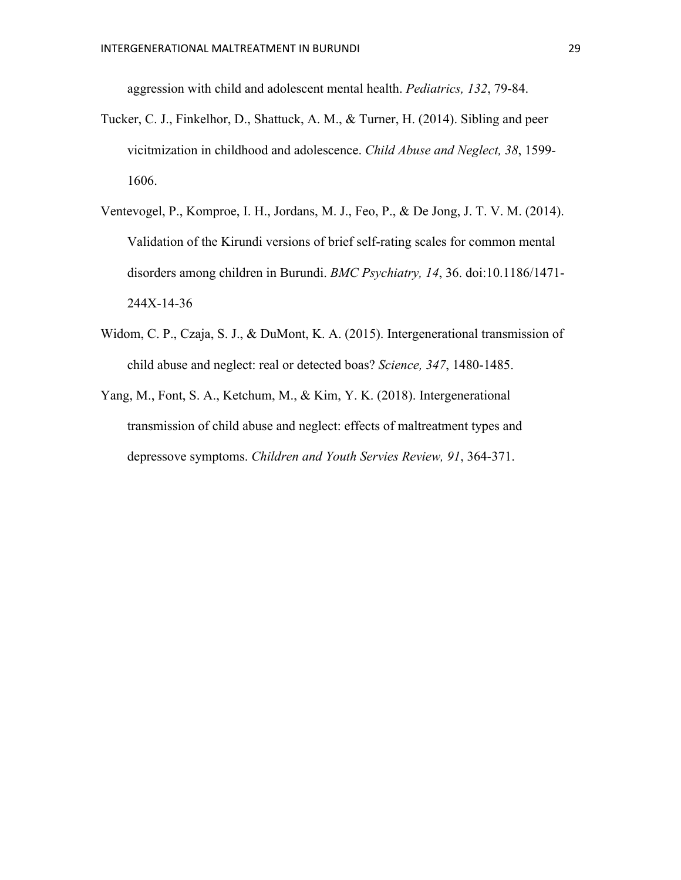aggression with child and adolescent mental health. *Pediatrics, 132*, 79-84.

- Tucker, C. J., Finkelhor, D., Shattuck, A. M., & Turner, H. (2014). Sibling and peer vicitmization in childhood and adolescence. *Child Abuse and Neglect, 38*, 1599- 1606.
- Ventevogel, P., Komproe, I. H., Jordans, M. J., Feo, P., & De Jong, J. T. V. M. (2014). Validation of the Kirundi versions of brief self-rating scales for common mental disorders among children in Burundi. *BMC Psychiatry, 14*, 36. doi:10.1186/1471- 244X-14-36
- Widom, C. P., Czaja, S. J., & DuMont, K. A. (2015). Intergenerational transmission of child abuse and neglect: real or detected boas? *Science, 347*, 1480-1485.
- Yang, M., Font, S. A., Ketchum, M., & Kim, Y. K. (2018). Intergenerational transmission of child abuse and neglect: effects of maltreatment types and depressove symptoms. *Children and Youth Servies Review, 91*, 364-371.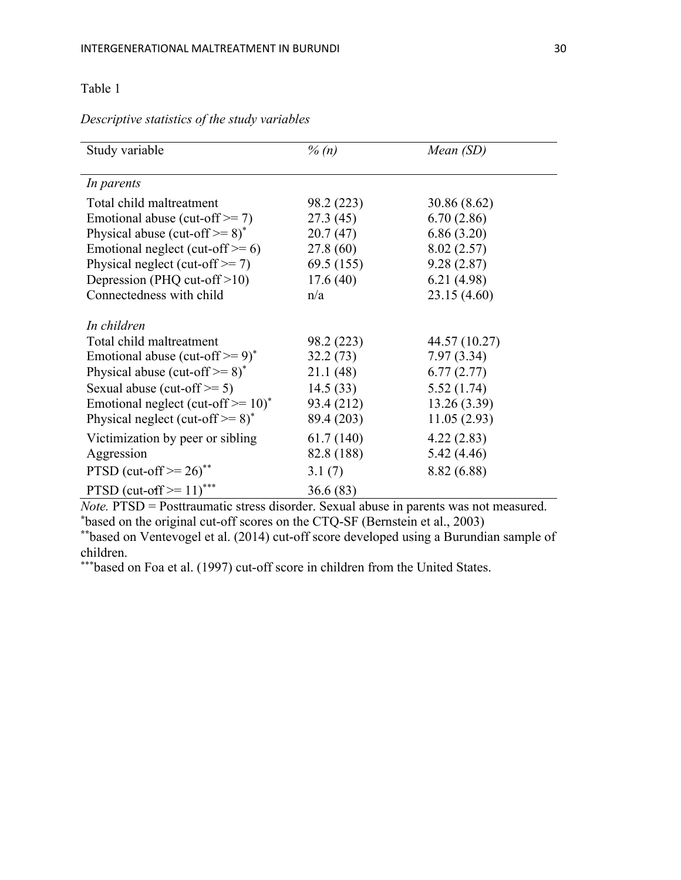## Table 1

| Study variable                                      | $\%$ (n)   | Mean (SD)     |
|-----------------------------------------------------|------------|---------------|
| In parents                                          |            |               |
| Total child maltreatment                            | 98.2 (223) | 30.86 (8.62)  |
| Emotional abuse (cut-off $\geq$ = 7)                | 27.3(45)   | 6.70(2.86)    |
| Physical abuse (cut-off $\geq$ =8) <sup>*</sup>     | 20.7(47)   | 6.86(3.20)    |
| Emotional neglect (cut-off $\geq 6$ )               | 27.8 (60)  | 8.02(2.57)    |
| Physical neglect (cut-off $\geq$ 7)                 | 69.5(155)  | 9.28(2.87)    |
| Depression (PHQ cut-off $>10$ )                     | 17.6(40)   | 6.21(4.98)    |
| Connectedness with child                            | n/a        | 23.15 (4.60)  |
| In children                                         |            |               |
| Total child maltreatment                            | 98.2 (223) | 44.57 (10.27) |
| Emotional abuse (cut-off $\geq$ 9) <sup>*</sup>     | 32.2(73)   | 7.97(3.34)    |
| Physical abuse (cut-off $\geq$ =8) <sup>*</sup>     | 21.1(48)   | 6.77(2.77)    |
| Sexual abuse (cut-off $\geq$ = 5)                   | 14.5(33)   | 5.52(1.74)    |
| Emotional neglect (cut-off $\geq 10$ ) <sup>*</sup> | 93.4 (212) | 13.26(3.39)   |
| Physical neglect (cut-off $\geq$ =8) <sup>*</sup>   | 89.4 (203) | 11.05(2.93)   |
| Victimization by peer or sibling                    | 61.7(140)  | 4.22(2.83)    |
| Aggression                                          | 82.8 (188) | 5.42(4.46)    |
| PTSD (cut-off $\geq$ 26) <sup>**</sup>              | 3.1(7)     | 8.82 (6.88)   |
| PTSD (cut-off $> = 11$ )***                         | 36.6 (83)  |               |

*Descriptive statistics of the study variables*

*Note.* PTSD = Posttraumatic stress disorder. Sexual abuse in parents was not measured. **\*** based on the original cut-off scores on the CTQ-SF (Bernstein et al., 2003)

**\*\***based on Ventevogel et al. (2014) cut-off score developed using a Burundian sample of children.

\*\*\*based on Foa et al. (1997) cut-off score in children from the United States.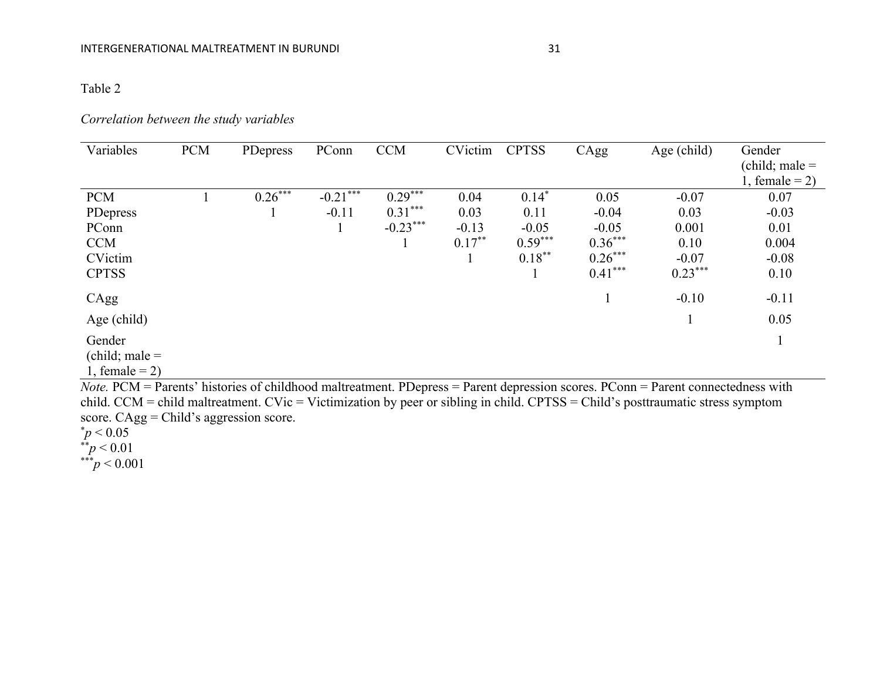## Table 2

### *Correlation between the study variables*

| Variables                  | <b>PCM</b> | PDepress  | PConn      | <b>CCM</b> | CVictim   | <b>CPTSS</b> | CAgg      | Age (child) | Gender<br>$\text{(child; male} =$ |
|----------------------------|------------|-----------|------------|------------|-----------|--------------|-----------|-------------|-----------------------------------|
|                            |            |           |            |            |           |              |           |             | 1, female = $2$ )                 |
| <b>PCM</b>                 |            | $0.26***$ | $-0.21***$ | $0.29***$  | 0.04      | $0.14*$      | 0.05      | $-0.07$     | 0.07                              |
| PDepress                   |            |           | $-0.11$    | $0.31***$  | 0.03      | 0.11         | $-0.04$   | 0.03        | $-0.03$                           |
| PConn                      |            |           |            | $-0.23***$ | $-0.13$   | $-0.05$      | $-0.05$   | 0.001       | 0.01                              |
| <b>CCM</b>                 |            |           |            |            | $0.17***$ | $0.59***$    | $0.36***$ | 0.10        | 0.004                             |
| CVictim                    |            |           |            |            |           | $0.18***$    | $0.26***$ | $-0.07$     | $-0.08$                           |
| <b>CPTSS</b>               |            |           |            |            |           |              | $0.41***$ | $0.23***$   | 0.10                              |
| CAgg                       |            |           |            |            |           |              |           | $-0.10$     | $-0.11$                           |
| Age (child)                |            |           |            |            |           |              |           |             | 0.05                              |
| Gender<br>(child; male $=$ |            |           |            |            |           |              |           |             | 1                                 |

1, female =  $2$ )

*Note.* PCM = Parents' histories of childhood maltreatment. PDepress = Parent depression scores. PConn = Parent connectedness with child. CCM = child maltreatment. CVic = Victimization by peer or sibling in child. CPTSS = Child's posttraumatic stress symptom score. CAgg = Child's aggression score.  $p$  < 0.05

\*\**p* < 0.01

\*\*\**p* < 0.001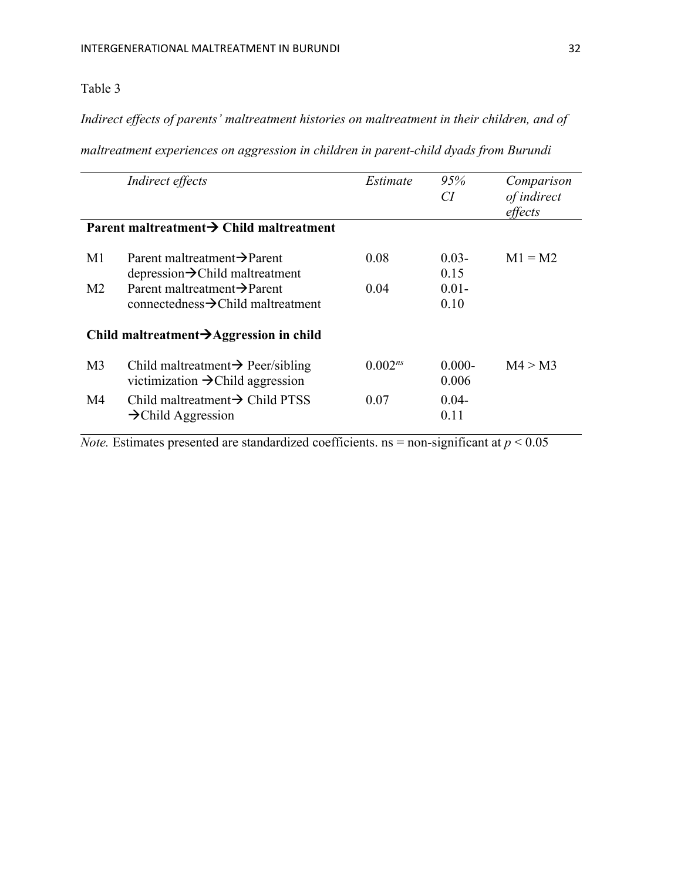## Table 3

*Indirect effects of parents' maltreatment histories on maltreatment in their children, and of* 

*maltreatment experiences on aggression in children in parent-child dyads from Burundi*

|                                                      | Indirect effects                               | Estimate     | 95%       | Comparison  |  |  |  |  |  |
|------------------------------------------------------|------------------------------------------------|--------------|-----------|-------------|--|--|--|--|--|
|                                                      |                                                |              | CI        | of indirect |  |  |  |  |  |
|                                                      |                                                |              |           | effects     |  |  |  |  |  |
|                                                      |                                                |              |           |             |  |  |  |  |  |
| Parent maltreatment $\rightarrow$ Child maltreatment |                                                |              |           |             |  |  |  |  |  |
|                                                      |                                                |              |           |             |  |  |  |  |  |
| M1                                                   | Parent maltreatment $\rightarrow$ Parent       | 0.08         | $0.03 -$  | $M1 = M2$   |  |  |  |  |  |
|                                                      | $depression \rightarrow$ Child maltreatment    |              | 0.15      |             |  |  |  |  |  |
| M <sub>2</sub>                                       | Parent maltreatment $\rightarrow$ Parent       | 0.04         | $0.01 -$  |             |  |  |  |  |  |
|                                                      | connectedness $\rightarrow$ Child maltreatment |              |           |             |  |  |  |  |  |
|                                                      |                                                |              | 0.10      |             |  |  |  |  |  |
|                                                      |                                                |              |           |             |  |  |  |  |  |
| Child maltreatment $\rightarrow$ Aggression in child |                                                |              |           |             |  |  |  |  |  |
|                                                      |                                                |              |           |             |  |  |  |  |  |
| M <sub>3</sub>                                       | Child maltreatment $\rightarrow$ Peer/sibling  | $0.002^{ns}$ | $0.000 -$ | M4 > M3     |  |  |  |  |  |
|                                                      |                                                |              |           |             |  |  |  |  |  |
|                                                      | victimization $\rightarrow$ Child aggression   |              | 0.006     |             |  |  |  |  |  |
| M4                                                   | Child maltreatment $\rightarrow$ Child PTSS    | 0.07         | $0.04 -$  |             |  |  |  |  |  |
|                                                      | $\rightarrow$ Child Aggression                 |              | 0.11      |             |  |  |  |  |  |
|                                                      |                                                |              |           |             |  |  |  |  |  |
|                                                      |                                                |              |           |             |  |  |  |  |  |

*Note.* Estimates presented are standardized coefficients. ns = non-significant at  $p < 0.05$